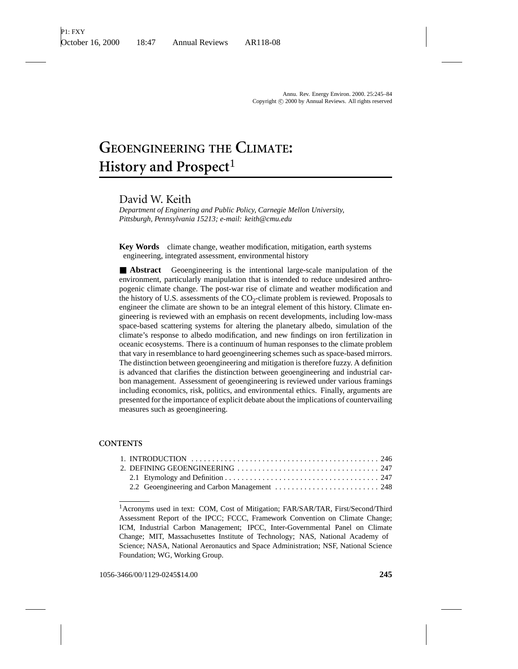# **GEOENGINEERING THE CLIMATE: History and Prospect**<sup>1</sup>

# David W. Keith

*Department of Enginering and Public Policy, Carnegie Mellon University, Pittsburgh, Pennsylvania 15213; e-mail: keith@cmu.edu*

**Key Words** climate change, weather modification, mitigation, earth systems engineering, integrated assessment, environmental history

■ **Abstract** Geoengineering is the intentional large-scale manipulation of the environment, particularly manipulation that is intended to reduce undesired anthropogenic climate change. The post-war rise of climate and weather modification and the history of U.S. assessments of the  $CO<sub>2</sub>$ -climate problem is reviewed. Proposals to engineer the climate are shown to be an integral element of this history. Climate engineering is reviewed with an emphasis on recent developments, including low-mass space-based scattering systems for altering the planetary albedo, simulation of the climate's response to albedo modification, and new findings on iron fertilization in oceanic ecosystems. There is a continuum of human responses to the climate problem that vary in resemblance to hard geoengineering schemes such as space-based mirrors. The distinction between geoengineering and mitigation is therefore fuzzy. A definition is advanced that clarifies the distinction between geoengineering and industrial carbon management. Assessment of geoengineering is reviewed under various framings including economics, risk, politics, and environmental ethics. Finally, arguments are presented for the importance of explicit debate about the implications of countervailing measures such as geoengineering.

### **CONTENTS**

<sup>&</sup>lt;sup>1</sup> Acronyms used in text: COM, Cost of Mitigation; FAR/SAR/TAR, First/Second/Third Assessment Report of the IPCC; FCCC, Framework Convention on Climate Change; ICM, Industrial Carbon Management; IPCC, Inter-Governmental Panel on Climate Change; MIT, Massachusettes Institute of Technology; NAS, National Academy of Science; NASA, National Aeronautics and Space Administration; NSF, National Science Foundation; WG, Working Group.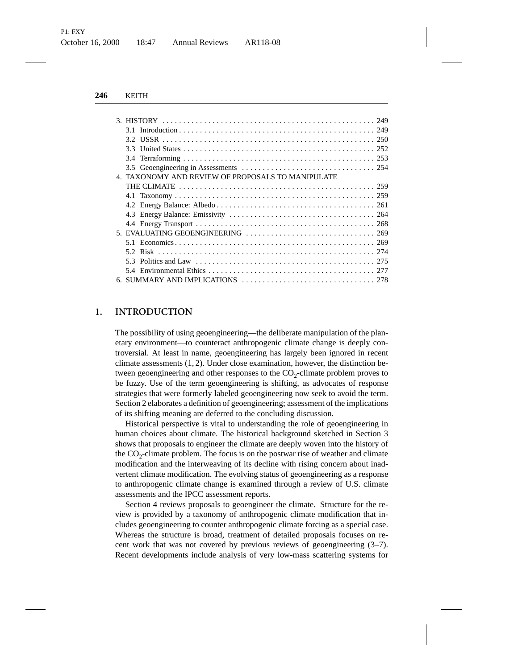| 4. TAXONOMY AND REVIEW OF PROPOSALS TO MANIPULATE |
|---------------------------------------------------|
|                                                   |
|                                                   |
|                                                   |
|                                                   |
|                                                   |
|                                                   |
|                                                   |
|                                                   |
|                                                   |
|                                                   |
|                                                   |

### **1. INTRODUCTION**

The possibility of using geoengineering—the deliberate manipulation of the planetary environment—to counteract anthropogenic climate change is deeply controversial. At least in name, geoengineering has largely been ignored in recent climate assessments  $(1, 2)$ . Under close examination, however, the distinction between geoengineering and other responses to the  $CO<sub>2</sub>$ -climate problem proves to be fuzzy. Use of the term geoengineering is shifting, as advocates of response strategies that were formerly labeled geoengineering now seek to avoid the term. Section 2 elaborates a definition of geoengineering; assessment of the implications of its shifting meaning are deferred to the concluding discussion.

Historical perspective is vital to understanding the role of geoengineering in human choices about climate. The historical background sketched in Section 3 shows that proposals to engineer the climate are deeply woven into the history of the  $CO<sub>2</sub>$ -climate problem. The focus is on the postwar rise of weather and climate modification and the interweaving of its decline with rising concern about inadvertent climate modification. The evolving status of geoengineering as a response to anthropogenic climate change is examined through a review of U.S. climate assessments and the IPCC assessment reports.

Section 4 reviews proposals to geoengineer the climate. Structure for the review is provided by a taxonomy of anthropogenic climate modification that includes geoengineering to counter anthropogenic climate forcing as a special case. Whereas the structure is broad, treatment of detailed proposals focuses on recent work that was not covered by previous reviews of geoengineering (3–7). Recent developments include analysis of very low-mass scattering systems for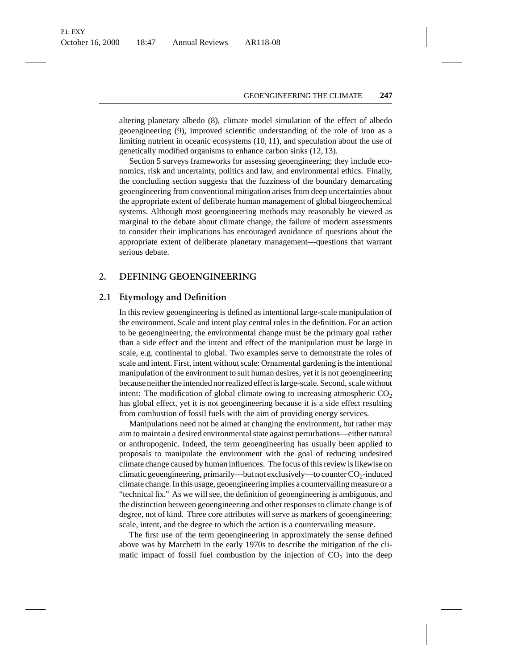altering planetary albedo (8), climate model simulation of the effect of albedo geoengineering (9), improved scientific understanding of the role of iron as a limiting nutrient in oceanic ecosystems (10, 11), and speculation about the use of genetically modified organisms to enhance carbon sinks (12, 13).

Section 5 surveys frameworks for assessing geoengineering; they include economics, risk and uncertainty, politics and law, and environmental ethics. Finally, the concluding section suggests that the fuzziness of the boundary demarcating geoengineering from conventional mitigation arises from deep uncertainties about the appropriate extent of deliberate human management of global biogeochemical systems. Although most geoengineering methods may reasonably be viewed as marginal to the debate about climate change, the failure of modern assessments to consider their implications has encouraged avoidance of questions about the appropriate extent of deliberate planetary management—questions that warrant serious debate.

### **2. DEFINING GEOENGINEERING**

### **2.1 Etymology and Definition**

In this review geoengineering is defined as intentional large-scale manipulation of the environment. Scale and intent play central roles in the definition. For an action to be geoengineering, the environmental change must be the primary goal rather than a side effect and the intent and effect of the manipulation must be large in scale, e.g. continental to global. Two examples serve to demonstrate the roles of scale and intent. First, intent without scale: Ornamental gardening is the intentional manipulation of the environment to suit human desires, yet it is not geoengineering because neither the intended nor realized effect is large-scale. Second, scale without intent: The modification of global climate owing to increasing atmospheric  $CO<sub>2</sub>$ has global effect, yet it is not geoengineering because it is a side effect resulting from combustion of fossil fuels with the aim of providing energy services.

Manipulations need not be aimed at changing the environment, but rather may aim to maintain a desired environmental state against perturbations—either natural or anthropogenic. Indeed, the term geoengineering has usually been applied to proposals to manipulate the environment with the goal of reducing undesired climate change caused by human influences. The focus of this review is likewise on climatic geoengineering, primarily—but not exclusively—to counter  $CO_2$ -induced climate change. In this usage, geoengineering implies a countervailing measure or a "technical fix." As we will see, the definition of geoengineering is ambiguous, and the distinction between geoengineering and other responses to climate change is of degree, not of kind. Three core attributes will serve as markers of geoengineering: scale, intent, and the degree to which the action is a countervailing measure.

The first use of the term geoengineering in approximately the sense defined above was by Marchetti in the early 1970s to describe the mitigation of the climatic impact of fossil fuel combustion by the injection of  $CO<sub>2</sub>$  into the deep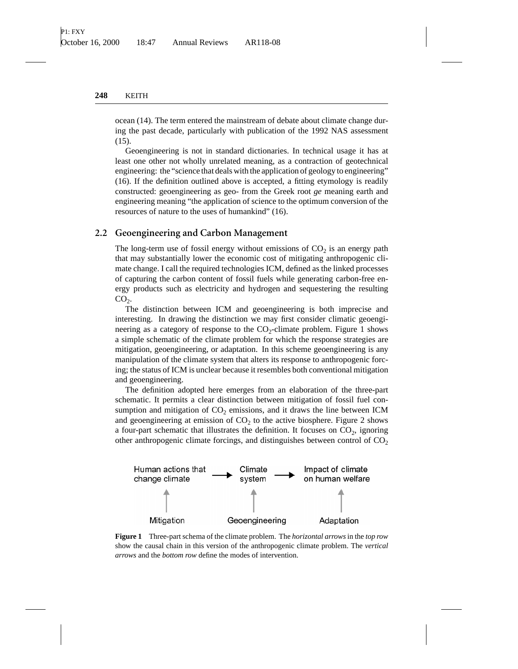ocean (14). The term entered the mainstream of debate about climate change during the past decade, particularly with publication of the 1992 NAS assessment (15).

Geoengineering is not in standard dictionaries. In technical usage it has at least one other not wholly unrelated meaning, as a contraction of geotechnical engineering: the "science that deals with the application of geology to engineering" (16). If the definition outlined above is accepted, a fitting etymology is readily constructed: geoengineering as geo- from the Greek root *ge* meaning earth and engineering meaning "the application of science to the optimum conversion of the resources of nature to the uses of humankind" (16).

# **2.2 Geoengineering and Carbon Management**

The long-term use of fossil energy without emissions of  $CO<sub>2</sub>$  is an energy path that may substantially lower the economic cost of mitigating anthropogenic climate change. I call the required technologies ICM, defined as the linked processes of capturing the carbon content of fossil fuels while generating carbon-free energy products such as electricity and hydrogen and sequestering the resulting  $CO<sub>2</sub>$ .

The distinction between ICM and geoengineering is both imprecise and interesting. In drawing the distinction we may first consider climatic geoengineering as a category of response to the  $CO<sub>2</sub>$ -climate problem. Figure 1 shows a simple schematic of the climate problem for which the response strategies are mitigation, geoengineering, or adaptation. In this scheme geoengineering is any manipulation of the climate system that alters its response to anthropogenic forcing; the status of ICM is unclear because it resembles both conventional mitigation and geoengineering.

The definition adopted here emerges from an elaboration of the three-part schematic. It permits a clear distinction between mitigation of fossil fuel consumption and mitigation of  $CO<sub>2</sub>$  emissions, and it draws the line between ICM and geoengineering at emission of  $CO<sub>2</sub>$  to the active biosphere. Figure 2 shows a four-part schematic that illustrates the definition. It focuses on  $CO<sub>2</sub>$ , ignoring other anthropogenic climate forcings, and distinguishes between control of  $CO<sub>2</sub>$ 



**Figure 1** Three-part schema of the climate problem. The *horizontal arrows* in the *top row* show the causal chain in this version of the anthropogenic climate problem. The *vertical arrows* and the *bottom row* define the modes of intervention.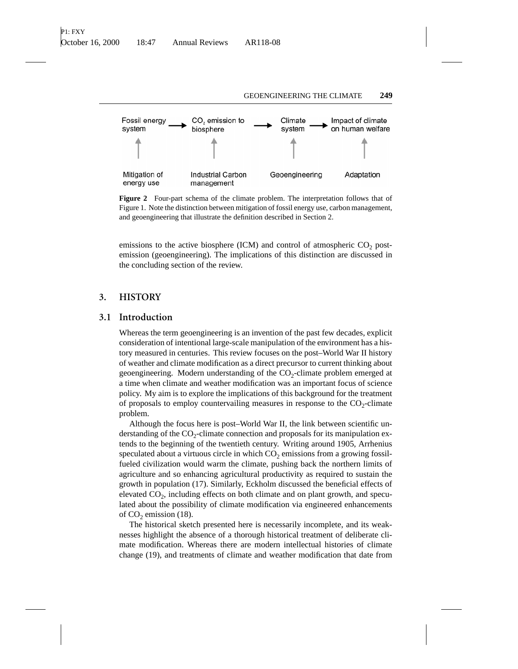

**Figure 2** Four-part schema of the climate problem. The interpretation follows that of Figure 1. Note the distinction between mitigation of fossil energy use, carbon management, and geoengineering that illustrate the definition described in Section 2.

emissions to the active biosphere (ICM) and control of atmospheric  $CO<sub>2</sub>$  postemission (geoengineering). The implications of this distinction are discussed in the concluding section of the review.

### **3. HISTORY**

### **3.1 Introduction**

Whereas the term geoengineering is an invention of the past few decades, explicit consideration of intentional large-scale manipulation of the environment has a history measured in centuries. This review focuses on the post–World War II history of weather and climate modification as a direct precursor to current thinking about geoengineering. Modern understanding of the  $CO<sub>2</sub>$ -climate problem emerged at a time when climate and weather modification was an important focus of science policy. My aim is to explore the implications of this background for the treatment of proposals to employ countervailing measures in response to the  $CO<sub>2</sub>$ -climate problem.

Although the focus here is post–World War II, the link between scientific understanding of the  $CO<sub>2</sub>$ -climate connection and proposals for its manipulation extends to the beginning of the twentieth century. Writing around 1905, Arrhenius speculated about a virtuous circle in which  $CO<sub>2</sub>$  emissions from a growing fossilfueled civilization would warm the climate, pushing back the northern limits of agriculture and so enhancing agricultural productivity as required to sustain the growth in population (17). Similarly, Eckholm discussed the beneficial effects of elevated  $CO<sub>2</sub>$ , including effects on both climate and on plant growth, and speculated about the possibility of climate modification via engineered enhancements of  $CO<sub>2</sub>$  emission (18).

The historical sketch presented here is necessarily incomplete, and its weaknesses highlight the absence of a thorough historical treatment of deliberate climate modification. Whereas there are modern intellectual histories of climate change (19), and treatments of climate and weather modification that date from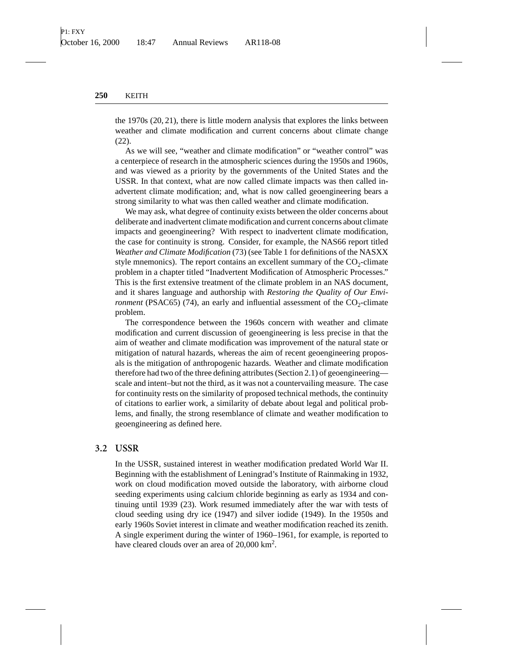the 1970s (20, 21), there is little modern analysis that explores the links between weather and climate modification and current concerns about climate change  $(22)$ .

As we will see, "weather and climate modification" or "weather control" was a centerpiece of research in the atmospheric sciences during the 1950s and 1960s, and was viewed as a priority by the governments of the United States and the USSR. In that context, what are now called climate impacts was then called inadvertent climate modification; and, what is now called geoengineering bears a strong similarity to what was then called weather and climate modification.

We may ask, what degree of continuity exists between the older concerns about deliberate and inadvertent climate modification and current concerns about climate impacts and geoengineering? With respect to inadvertent climate modification, the case for continuity is strong. Consider, for example, the NAS66 report titled *Weather and Climate Modification* (73) (see Table 1 for definitions of the NASXX style mnemonics). The report contains an excellent summary of the  $CO<sub>2</sub>$ -climate problem in a chapter titled "Inadvertent Modification of Atmospheric Processes." This is the first extensive treatment of the climate problem in an NAS document, and it shares language and authorship with *Restoring the Quality of Our Environment* (PSAC65) (74), an early and influential assessment of the  $CO<sub>2</sub>$ -climate problem.

The correspondence between the 1960s concern with weather and climate modification and current discussion of geoengineering is less precise in that the aim of weather and climate modification was improvement of the natural state or mitigation of natural hazards, whereas the aim of recent geoengineering proposals is the mitigation of anthropogenic hazards. Weather and climate modification therefore had two of the three defining attributes (Section 2.1) of geoengineering scale and intent–but not the third, as it was not a countervailing measure. The case for continuity rests on the similarity of proposed technical methods, the continuity of citations to earlier work, a similarity of debate about legal and political problems, and finally, the strong resemblance of climate and weather modification to geoengineering as defined here.

### **3.2 USSR**

In the USSR, sustained interest in weather modification predated World War II. Beginning with the establishment of Leningrad's Institute of Rainmaking in 1932, work on cloud modification moved outside the laboratory, with airborne cloud seeding experiments using calcium chloride beginning as early as 1934 and continuing until 1939 (23). Work resumed immediately after the war with tests of cloud seeding using dry ice (1947) and silver iodide (1949). In the 1950s and early 1960s Soviet interest in climate and weather modification reached its zenith. A single experiment during the winter of 1960–1961, for example, is reported to have cleared clouds over an area of 20,000 km<sup>2</sup>.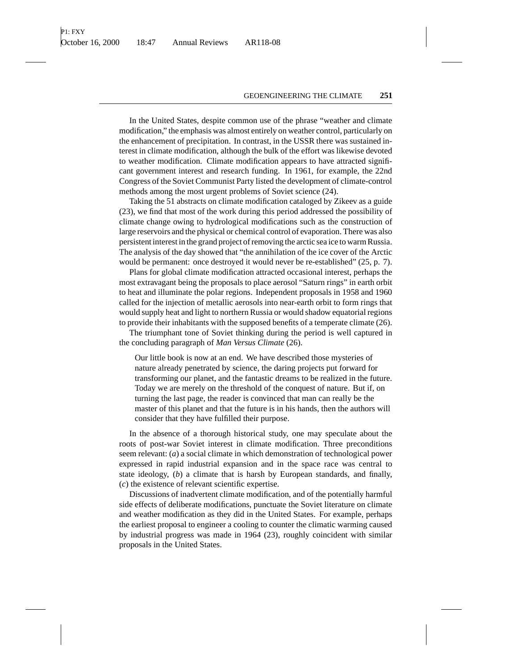In the United States, despite common use of the phrase "weather and climate modification," the emphasis was almost entirely on weather control, particularly on the enhancement of precipitation. In contrast, in the USSR there was sustained interest in climate modification, although the bulk of the effort was likewise devoted to weather modification. Climate modification appears to have attracted significant government interest and research funding. In 1961, for example, the 22nd Congress of the Soviet Communist Party listed the development of climate-control methods among the most urgent problems of Soviet science (24).

Taking the 51 abstracts on climate modification cataloged by Zikeev as a guide (23), we find that most of the work during this period addressed the possibility of climate change owing to hydrological modifications such as the construction of large reservoirs and the physical or chemical control of evaporation. There was also persistent interest in the grand project of removing the arctic sea ice to warm Russia. The analysis of the day showed that "the annihilation of the ice cover of the Arctic would be permanent: once destroyed it would never be re-established" (25, p. 7).

Plans for global climate modification attracted occasional interest, perhaps the most extravagant being the proposals to place aerosol "Saturn rings" in earth orbit to heat and illuminate the polar regions. Independent proposals in 1958 and 1960 called for the injection of metallic aerosols into near-earth orbit to form rings that would supply heat and light to northern Russia or would shadow equatorial regions to provide their inhabitants with the supposed benefits of a temperate climate (26).

The triumphant tone of Soviet thinking during the period is well captured in the concluding paragraph of *Man Versus Climate* (26).

Our little book is now at an end. We have described those mysteries of nature already penetrated by science, the daring projects put forward for transforming our planet, and the fantastic dreams to be realized in the future. Today we are merely on the threshold of the conquest of nature. But if, on turning the last page, the reader is convinced that man can really be the master of this planet and that the future is in his hands, then the authors will consider that they have fulfilled their purpose.

In the absence of a thorough historical study, one may speculate about the roots of post-war Soviet interest in climate modification. Three preconditions seem relevant: (*a*) a social climate in which demonstration of technological power expressed in rapid industrial expansion and in the space race was central to state ideology, (*b*) a climate that is harsh by European standards, and finally, (*c*) the existence of relevant scientific expertise.

Discussions of inadvertent climate modification, and of the potentially harmful side effects of deliberate modifications, punctuate the Soviet literature on climate and weather modification as they did in the United States. For example, perhaps the earliest proposal to engineer a cooling to counter the climatic warming caused by industrial progress was made in 1964 (23), roughly coincident with similar proposals in the United States.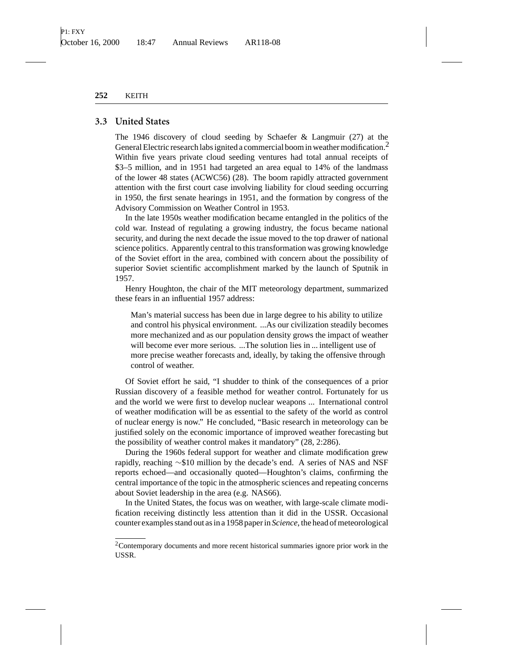### **3.3 United States**

The 1946 discovery of cloud seeding by Schaefer & Langmuir (27) at the General Electric research labs ignited a commercial boom in weather modification.<sup>2</sup> Within five years private cloud seeding ventures had total annual receipts of \$3–5 million, and in 1951 had targeted an area equal to 14% of the landmass of the lower 48 states (ACWC56) (28). The boom rapidly attracted government attention with the first court case involving liability for cloud seeding occurring in 1950, the first senate hearings in 1951, and the formation by congress of the Advisory Commission on Weather Control in 1953.

In the late 1950s weather modification became entangled in the politics of the cold war. Instead of regulating a growing industry, the focus became national security, and during the next decade the issue moved to the top drawer of national science politics. Apparently central to this transformation was growing knowledge of the Soviet effort in the area, combined with concern about the possibility of superior Soviet scientific accomplishment marked by the launch of Sputnik in 1957.

Henry Houghton, the chair of the MIT meteorology department, summarized these fears in an influential 1957 address:

Man's material success has been due in large degree to his ability to utilize and control his physical environment. ...As our civilization steadily becomes more mechanized and as our population density grows the impact of weather will become ever more serious. ...The solution lies in ... intelligent use of more precise weather forecasts and, ideally, by taking the offensive through control of weather.

Of Soviet effort he said, "I shudder to think of the consequences of a prior Russian discovery of a feasible method for weather control. Fortunately for us and the world we were first to develop nuclear weapons ... International control of weather modification will be as essential to the safety of the world as control of nuclear energy is now." He concluded, "Basic research in meteorology can be justified solely on the economic importance of improved weather forecasting but the possibility of weather control makes it mandatory" (28, 2:286).

During the 1960s federal support for weather and climate modification grew rapidly, reaching ∼\$10 million by the decade's end. A series of NAS and NSF reports echoed—and occasionally quoted—Houghton's claims, confirming the central importance of the topic in the atmospheric sciences and repeating concerns about Soviet leadership in the area (e.g. NAS66).

In the United States, the focus was on weather, with large-scale climate modification receiving distinctly less attention than it did in the USSR. Occasional counter examples stand out as in a 1958 paper in *Science*, the head of meteorological

 $2$ Contemporary documents and more recent historical summaries ignore prior work in the USSR.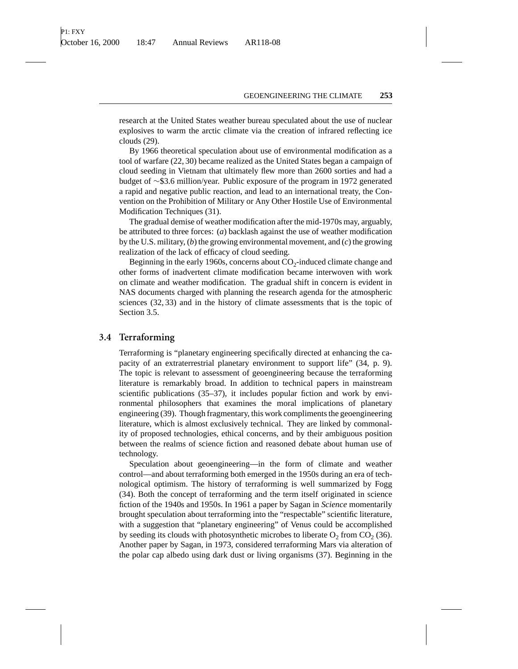research at the United States weather bureau speculated about the use of nuclear explosives to warm the arctic climate via the creation of infrared reflecting ice clouds (29).

By 1966 theoretical speculation about use of environmental modification as a tool of warfare (22, 30) became realized as the United States began a campaign of cloud seeding in Vietnam that ultimately flew more than 2600 sorties and had a budget of ∼\$3.6 million/year. Public exposure of the program in 1972 generated a rapid and negative public reaction, and lead to an international treaty, the Convention on the Prohibition of Military or Any Other Hostile Use of Environmental Modification Techniques (31).

The gradual demise of weather modification after the mid-1970s may, arguably, be attributed to three forces: (*a*) backlash against the use of weather modification by the U.S. military, (*b*) the growing environmental movement, and (*c*) the growing realization of the lack of efficacy of cloud seeding.

Beginning in the early 1960s, concerns about  $CO<sub>2</sub>$ -induced climate change and other forms of inadvertent climate modification became interwoven with work on climate and weather modification. The gradual shift in concern is evident in NAS documents charged with planning the research agenda for the atmospheric sciences (32, 33) and in the history of climate assessments that is the topic of Section 3.5.

## **3.4 Terraforming**

Terraforming is "planetary engineering specifically directed at enhancing the capacity of an extraterrestrial planetary environment to support life" (34, p. 9). The topic is relevant to assessment of geoengineering because the terraforming literature is remarkably broad. In addition to technical papers in mainstream scientific publications (35–37), it includes popular fiction and work by environmental philosophers that examines the moral implications of planetary engineering (39). Though fragmentary, this work compliments the geoengineering literature, which is almost exclusively technical. They are linked by commonality of proposed technologies, ethical concerns, and by their ambiguous position between the realms of science fiction and reasoned debate about human use of technology.

Speculation about geoengineering—in the form of climate and weather control—and about terraforming both emerged in the 1950s during an era of technological optimism. The history of terraforming is well summarized by Fogg (34). Both the concept of terraforming and the term itself originated in science fiction of the 1940s and 1950s. In 1961 a paper by Sagan in *Science* momentarily brought speculation about terraforming into the "respectable" scientific literature, with a suggestion that "planetary engineering" of Venus could be accomplished by seeding its clouds with photosynthetic microbes to liberate  $O_2$  from  $CO_2$  (36). Another paper by Sagan, in 1973, considered terraforming Mars via alteration of the polar cap albedo using dark dust or living organisms (37). Beginning in the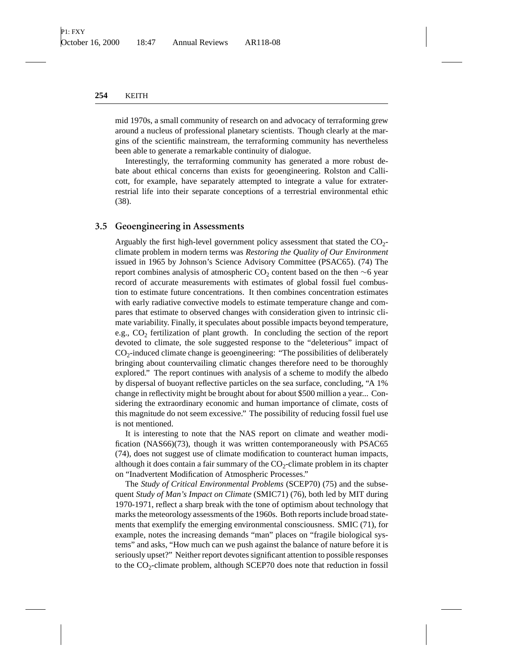mid 1970s, a small community of research on and advocacy of terraforming grew around a nucleus of professional planetary scientists. Though clearly at the margins of the scientific mainstream, the terraforming community has nevertheless been able to generate a remarkable continuity of dialogue.

Interestingly, the terraforming community has generated a more robust debate about ethical concerns than exists for geoengineering. Rolston and Callicott, for example, have separately attempted to integrate a value for extraterrestrial life into their separate conceptions of a terrestrial environmental ethic (38).

### **3.5 Geoengineering in Assessments**

Arguably the first high-level government policy assessment that stated the  $CO<sub>2</sub>$ climate problem in modern terms was *Restoring the Quality of Our Environment* issued in 1965 by Johnson's Science Advisory Committee (PSAC65). (74) The report combines analysis of atmospheric CO<sub>2</sub> content based on the then ∼6 year record of accurate measurements with estimates of global fossil fuel combustion to estimate future concentrations. It then combines concentration estimates with early radiative convective models to estimate temperature change and compares that estimate to observed changes with consideration given to intrinsic climate variability. Finally, it speculates about possible impacts beyond temperature, e.g.,  $CO<sub>2</sub>$  fertilization of plant growth. In concluding the section of the report devoted to climate, the sole suggested response to the "deleterious" impact of  $CO<sub>2</sub>$ -induced climate change is geoengineering: "The possibilities of deliberately bringing about countervailing climatic changes therefore need to be thoroughly explored." The report continues with analysis of a scheme to modify the albedo by dispersal of buoyant reflective particles on the sea surface, concluding, "A 1% change in reflectivity might be brought about for about \$500 million a year... Considering the extraordinary economic and human importance of climate, costs of this magnitude do not seem excessive." The possibility of reducing fossil fuel use is not mentioned.

It is interesting to note that the NAS report on climate and weather modification (NAS66)(73), though it was written contemporaneously with PSAC65 (74), does not suggest use of climate modification to counteract human impacts, although it does contain a fair summary of the  $CO<sub>2</sub>$ -climate problem in its chapter on "Inadvertent Modification of Atmospheric Processes."

The *Study of Critical Environmental Problems* (SCEP70) (75) and the subsequent *Study of Man's Impact on Climate* (SMIC71) (76), both led by MIT during 1970-1971, reflect a sharp break with the tone of optimism about technology that marks the meteorology assessments of the 1960s. Both reports include broad statements that exemplify the emerging environmental consciousness. SMIC (71), for example, notes the increasing demands "man" places on "fragile biological systems" and asks, "How much can we push against the balance of nature before it is seriously upset?" Neither report devotes significant attention to possible responses to the  $CO_2$ -climate problem, although SCEP70 does note that reduction in fossil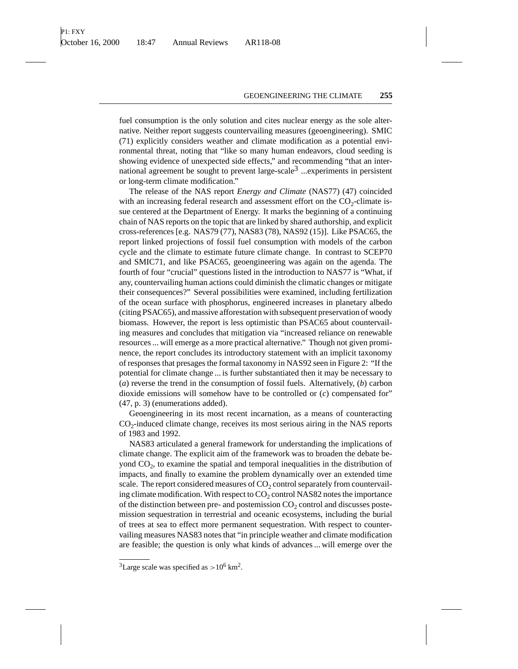fuel consumption is the only solution and cites nuclear energy as the sole alternative. Neither report suggests countervailing measures (geoengineering). SMIC (71) explicitly considers weather and climate modification as a potential environmental threat, noting that "like so many human endeavors, cloud seeding is showing evidence of unexpected side effects," and recommending "that an international agreement be sought to prevent large-scale<sup>3</sup> ...experiments in persistent or long-term climate modification."

The release of the NAS report *Energy and Climate* (NAS77) (47) coincided with an increasing federal research and assessment effort on the  $CO<sub>2</sub>$ -climate issue centered at the Department of Energy. It marks the beginning of a continuing chain of NAS reports on the topic that are linked by shared authorship, and explicit cross-references [e.g. NAS79 (77), NAS83 (78), NAS92 (15)]. Like PSAC65, the report linked projections of fossil fuel consumption with models of the carbon cycle and the climate to estimate future climate change. In contrast to SCEP70 and SMIC71, and like PSAC65, geoengineering was again on the agenda. The fourth of four "crucial" questions listed in the introduction to NAS77 is "What, if any, countervailing human actions could diminish the climatic changes or mitigate their consequences?" Several possibilities were examined, including fertilization of the ocean surface with phosphorus, engineered increases in planetary albedo (citing PSAC65), and massive afforestation with subsequent preservation of woody biomass. However, the report is less optimistic than PSAC65 about countervailing measures and concludes that mitigation via "increased reliance on renewable resources ... will emerge as a more practical alternative." Though not given prominence, the report concludes its introductory statement with an implicit taxonomy of responses that presages the formal taxonomy in NAS92 seen in Figure 2: "If the potential for climate change ... is further substantiated then it may be necessary to (*a*) reverse the trend in the consumption of fossil fuels. Alternatively, (*b*) carbon dioxide emissions will somehow have to be controlled or (*c*) compensated for" (47, p. 3) (enumerations added).

Geoengineering in its most recent incarnation, as a means of counteracting  $CO<sub>2</sub>$ -induced climate change, receives its most serious airing in the NAS reports of 1983 and 1992.

NAS83 articulated a general framework for understanding the implications of climate change. The explicit aim of the framework was to broaden the debate beyond  $CO<sub>2</sub>$ , to examine the spatial and temporal inequalities in the distribution of impacts, and finally to examine the problem dynamically over an extended time scale. The report considered measures of  $CO<sub>2</sub>$  control separately from countervailing climate modification. With respect to  $CO<sub>2</sub>$  control NAS82 notes the importance of the distinction between pre- and postemission  $CO<sub>2</sub>$  control and discusses postemission sequestration in terrestrial and oceanic ecosystems, including the burial of trees at sea to effect more permanent sequestration. With respect to countervailing measures NAS83 notes that "in principle weather and climate modification are feasible; the question is only what kinds of advances ... will emerge over the

<sup>&</sup>lt;sup>3</sup>Large scale was specified as  $>10^6$  km<sup>2</sup>.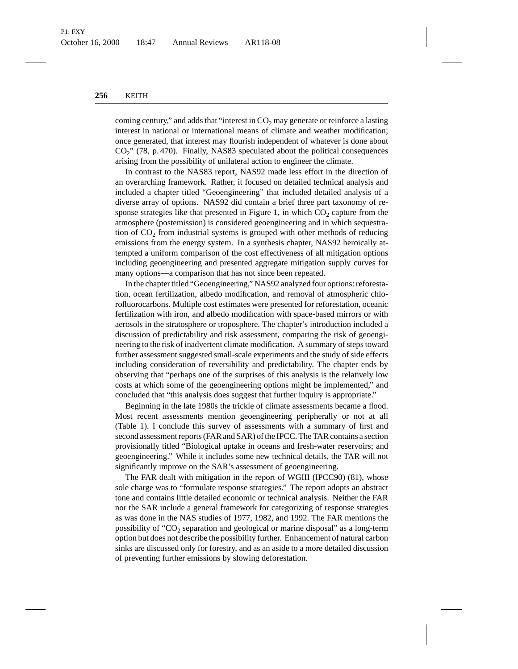coming century," and adds that "interest in  $CO<sub>2</sub>$  may generate or reinforce a lasting interest in national or international means of climate and weather modification; once generated, that interest may flourish independent of whatever is done about  $CO<sub>2</sub>$ " (78, p. 470). Finally, NAS83 speculated about the political consequences arising from the possibility of unilateral action to engineer the climate.

In contrast to the NAS83 report, NAS92 made less effort in the direction of an overarching framework. Rather, it focused on detailed technical analysis and included a chapter titled "Geoengineering" that included detailed analysis of a diverse array of options. NAS92 did contain a brief three part taxonomy of response strategies like that presented in Figure 1, in which  $CO<sub>2</sub>$  capture from the atmosphere (postemission) is considered geoengineering and in which sequestration of  $CO<sub>2</sub>$  from industrial systems is grouped with other methods of reducing emissions from the energy system. In a synthesis chapter, NAS92 heroically attempted a uniform comparison of the cost effectiveness of all mitigation options including geoengineering and presented aggregate mitigation supply curves for many options—a comparison that has not since been repeated.

In the chapter titled "Geoengineering," NAS92 analyzed four options: reforestation, ocean fertilization, albedo modification, and removal of atmospheric chlorofluorocarbons. Multiple cost estimates were presented for reforestation, oceanic fertilization with iron, and albedo modification with space-based mirrors or with aerosols in the stratosphere or troposphere. The chapter's introduction included a discussion of predictability and risk assessment, comparing the risk of geoengineering to the risk of inadvertent climate modification. A summary of steps toward further assessment suggested small-scale experiments and the study of side effects including consideration of reversibility and predictability. The chapter ends by observing that "perhaps one of the surprises of this analysis is the relatively low costs at which some of the geoengineering options might be implemented," and concluded that "this analysis does suggest that further inquiry is appropriate."

Beginning in the late 1980s the trickle of climate assessments became a flood. Most recent assessments mention geoengineering peripherally or not at all (Table 1). I conclude this survey of assessments with a summary of first and second assessment reports (FAR and SAR) of the IPCC. The TAR contains a section provisionally titled "Biological uptake in oceans and fresh-water reservoirs; and geoengineering." While it includes some new technical details, the TAR will not significantly improve on the SAR's assessment of geoengineering.

The FAR dealt with mitigation in the report of WGIII (IPCC90) (81), whose sole charge was to "formulate response strategies." The report adopts an abstract tone and contains little detailed economic or technical analysis. Neither the FAR nor the SAR include a general framework for categorizing of response strategies as was done in the NAS studies of 1977, 1982, and 1992. The FAR mentions the possibility of " $CO<sub>2</sub>$  separation and geological or marine disposal" as a long-term option but does not describe the possibility further. Enhancement of natural carbon sinks are discussed only for forestry, and as an aside to a more detailed discussion of preventing further emissions by slowing deforestation.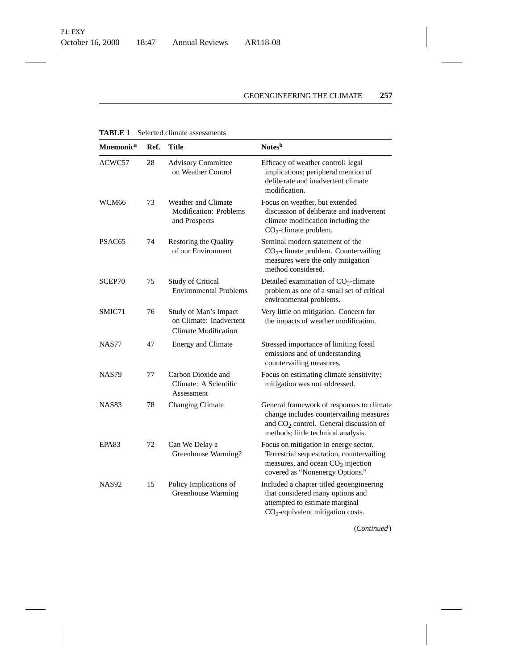| <b>Mnemonica</b>   | Ref. | <b>Title</b>                                                                    | Notes <sup>b</sup>                                                                                                                                                                |
|--------------------|------|---------------------------------------------------------------------------------|-----------------------------------------------------------------------------------------------------------------------------------------------------------------------------------|
| ACWC57             | 28   | <b>Advisory Committee</b><br>on Weather Control                                 | Efficacy of weather control; legal<br>implications; peripheral mention of<br>deliberate and inadvertent climate<br>modification.                                                  |
| WCM66              | 73   | Weather and Climate<br><b>Modification: Problems</b><br>and Prospects           | Focus on weather, but extended<br>discussion of deliberate and inadvertent<br>climate modification including the<br>$CO2$ -climate problem.                                       |
| PSAC <sub>65</sub> | 74   | Restoring the Quality<br>of our Environment                                     | Seminal modern statement of the<br>CO <sub>2</sub> -climate problem. Countervailing<br>measures were the only mitigation<br>method considered.                                    |
| SCEP70             | 75   | <b>Study of Critical</b><br><b>Environmental Problems</b>                       | Detailed examination of $CO2$ -climate<br>problem as one of a small set of critical<br>environmental problems.                                                                    |
| SMIC71             | 76   | Study of Man's Impact<br>on Climate: Inadvertent<br><b>Climate Modification</b> | Very little on mitigation. Concern for<br>the impacts of weather modification.                                                                                                    |
| <b>NAS77</b>       | 47   | <b>Energy and Climate</b>                                                       | Stressed importance of limiting fossil<br>emissions and of understanding<br>countervailing measures.                                                                              |
| <b>NAS79</b>       | 77   | Carbon Dioxide and<br>Climate: A Scientific<br>Assessment                       | Focus on estimating climate sensitivity;<br>mitigation was not addressed.                                                                                                         |
| <b>NAS83</b>       | 78   | <b>Changing Climate</b>                                                         | General framework of responses to climate<br>change includes countervailing measures<br>and CO <sub>2</sub> control. General discussion of<br>methods; little technical analysis. |
| EPA83              | 72   | Can We Delay a<br>Greenhouse Warming?                                           | Focus on mitigation in energy sector.<br>Terrestrial sequestration, countervailing<br>measures, and ocean $CO2$ injection<br>covered as "Nonenergy Options."                      |
| <b>NAS92</b>       | 15   | Policy Implications of<br>Greenhouse Warming                                    | Included a chapter titled geoengineering<br>that considered many options and<br>attempted to estimate marginal<br>$CO2$ -equivalent mitigation costs.                             |

### **TABLE 1** Selected climate assessments

(Continued)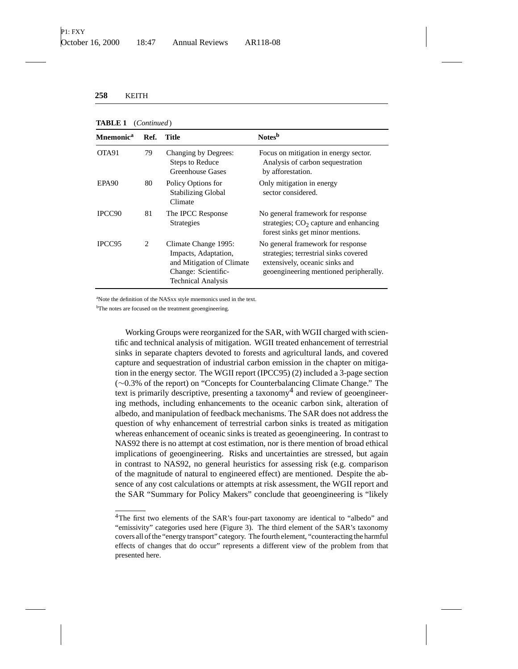| <b>Mnemonica</b>   | Ref.           | <b>Title</b>                                                                                                                  | <b>Notes</b> <sup>b</sup>                                                                                                                              |
|--------------------|----------------|-------------------------------------------------------------------------------------------------------------------------------|--------------------------------------------------------------------------------------------------------------------------------------------------------|
| OTA91              | 79             | Changing by Degrees:<br><b>Steps to Reduce</b><br><b>Greenhouse Gases</b>                                                     | Focus on mitigation in energy sector.<br>Analysis of carbon sequestration<br>by afforestation.                                                         |
| EPA <sub>90</sub>  | 80             | Policy Options for<br><b>Stabilizing Global</b><br>Climate                                                                    | Only mitigation in energy<br>sector considered.                                                                                                        |
| IPCC <sub>90</sub> | 81             | The IPCC Response<br><b>Strategies</b>                                                                                        | No general framework for response<br>strategies; $CO2$ capture and enhancing<br>forest sinks get minor mentions.                                       |
| IPCC95             | $\overline{c}$ | Climate Change 1995:<br>Impacts, Adaptation,<br>and Mitigation of Climate<br>Change: Scientific-<br><b>Technical Analysis</b> | No general framework for response<br>strategies; terrestrial sinks covered<br>extensively, oceanic sinks and<br>geoengineering mentioned peripherally. |

#### **TABLE 1** (*Continued* )

a Note the definition of the NASxx style mnemonics used in the text.

<sup>b</sup>The notes are focused on the treatment geoengineering.

Working Groups were reorganized for the SAR, with WGII charged with scientific and technical analysis of mitigation. WGII treated enhancement of terrestrial sinks in separate chapters devoted to forests and agricultural lands, and covered capture and sequestration of industrial carbon emission in the chapter on mitigation in the energy sector. The WGII report (IPCC95) (2) included a 3-page section (∼0.3% of the report) on "Concepts for Counterbalancing Climate Change." The text is primarily descriptive, presenting a taxonomy<sup>4</sup> and review of geoengineering methods, including enhancements to the oceanic carbon sink, alteration of albedo, and manipulation of feedback mechanisms. The SAR does not address the question of why enhancement of terrestrial carbon sinks is treated as mitigation whereas enhancement of oceanic sinks is treated as geoengineering. In contrast to NAS92 there is no attempt at cost estimation, nor is there mention of broad ethical implications of geoengineering. Risks and uncertainties are stressed, but again in contrast to NAS92, no general heuristics for assessing risk (e.g. comparison of the magnitude of natural to engineered effect) are mentioned. Despite the absence of any cost calculations or attempts at risk assessment, the WGII report and the SAR "Summary for Policy Makers" conclude that geoengineering is "likely

<sup>&</sup>lt;sup>4</sup>The first two elements of the SAR's four-part taxonomy are identical to "albedo" and "emissivity" categories used here (Figure 3). The third element of the SAR's taxonomy covers all of the "energy transport" category. The fourth element, "counteracting the harmful effects of changes that do occur" represents a different view of the problem from that presented here.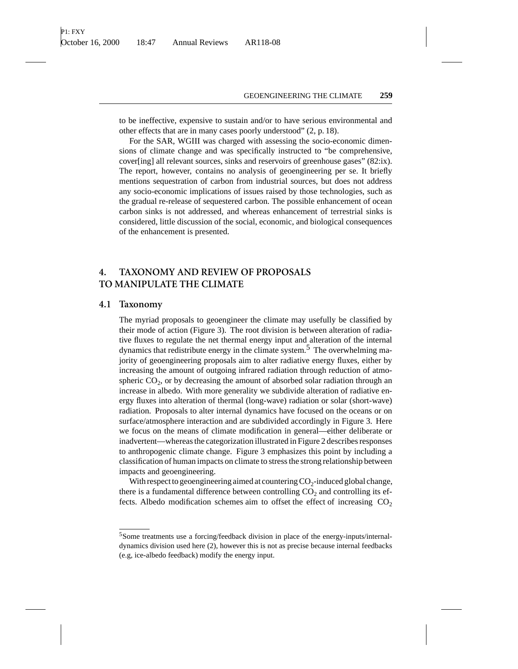to be ineffective, expensive to sustain and/or to have serious environmental and other effects that are in many cases poorly understood" (2, p. 18).

For the SAR, WGIII was charged with assessing the socio-economic dimensions of climate change and was specifically instructed to "be comprehensive, cover[ing] all relevant sources, sinks and reservoirs of greenhouse gases" (82:ix). The report, however, contains no analysis of geoengineering per se. It briefly mentions sequestration of carbon from industrial sources, but does not address any socio-economic implications of issues raised by those technologies, such as the gradual re-release of sequestered carbon. The possible enhancement of ocean carbon sinks is not addressed, and whereas enhancement of terrestrial sinks is considered, little discussion of the social, economic, and biological consequences of the enhancement is presented.

# **4. TAXONOMY AND REVIEW OF PROPOSALS TO MANIPULATE THE CLIMATE**

### **4.1 Taxonomy**

The myriad proposals to geoengineer the climate may usefully be classified by their mode of action (Figure 3). The root division is between alteration of radiative fluxes to regulate the net thermal energy input and alteration of the internal dynamics that redistribute energy in the climate system.<sup>5</sup> The overwhelming majority of geoengineering proposals aim to alter radiative energy fluxes, either by increasing the amount of outgoing infrared radiation through reduction of atmospheric  $CO<sub>2</sub>$ , or by decreasing the amount of absorbed solar radiation through an increase in albedo. With more generality we subdivide alteration of radiative energy fluxes into alteration of thermal (long-wave) radiation or solar (short-wave) radiation. Proposals to alter internal dynamics have focused on the oceans or on surface/atmosphere interaction and are subdivided accordingly in Figure 3. Here we focus on the means of climate modification in general—either deliberate or inadvertent—whereas the categorization illustrated in Figure 2 describes responses to anthropogenic climate change. Figure 3 emphasizes this point by including a classification of human impacts on climate to stress the strong relationship between impacts and geoengineering.

With respect to geoengineering aimed at countering  $CO<sub>2</sub>$ -induced global change, there is a fundamental difference between controlling  $CO<sub>2</sub>$  and controlling its effects. Albedo modification schemes aim to offset the effect of increasing  $CO<sub>2</sub>$ 

<sup>&</sup>lt;sup>5</sup>Some treatments use a forcing/feedback division in place of the energy-inputs/internaldynamics division used here (2), however this is not as precise because internal feedbacks (e.g, ice-albedo feedback) modify the energy input.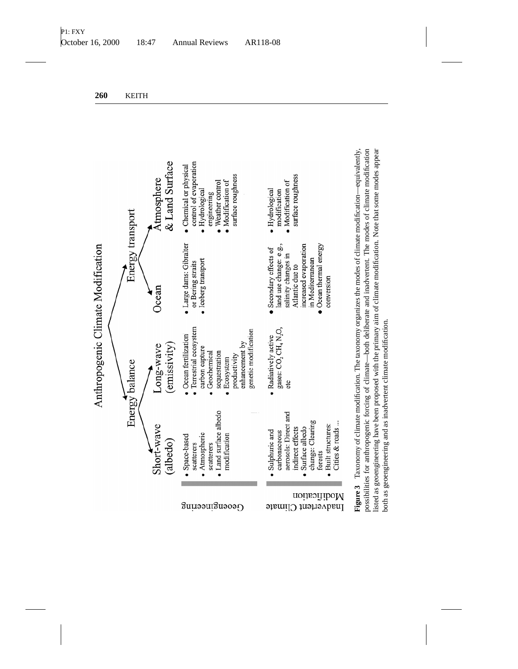

possibilities for anthropogenic forcing of climate—both deliberate and inadvertent. The modes of climate modification isted as geoengineering have been proposed with the primary aim of climate modification. Note that some modes appear possibilities for anthropogenic forcing of climate—both deliberate and inadvertent. The modes of climate modification listed as geoengineering have been proposed with the primary aim of climate modification. Note that some modes appear ooth as geoengineering and as inadvertent climate modification. both as geoengineering and as inadvertent climate modification.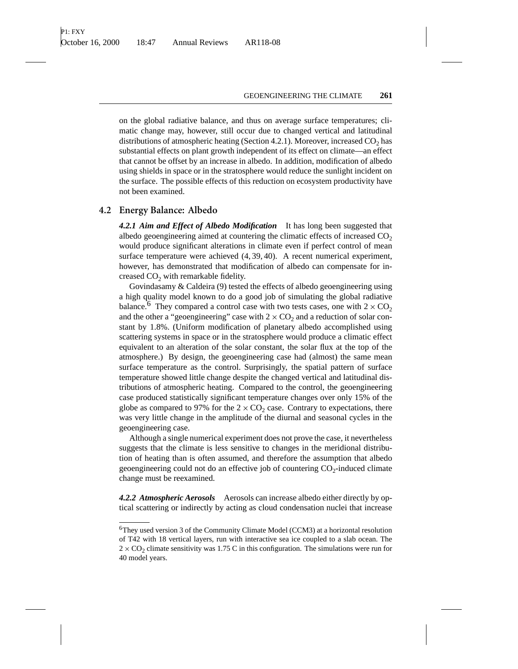on the global radiative balance, and thus on average surface temperatures; climatic change may, however, still occur due to changed vertical and latitudinal distributions of atmospheric heating (Section 4.2.1). Moreover, increased  $CO<sub>2</sub>$  has substantial effects on plant growth independent of its effect on climate—an effect that cannot be offset by an increase in albedo. In addition, modification of albedo using shields in space or in the stratosphere would reduce the sunlight incident on the surface. The possible effects of this reduction on ecosystem productivity have not been examined.

### **4.2 Energy Balance: Albedo**

*4.2.1 Aim and Effect of Albedo Modification* It has long been suggested that albedo geoengineering aimed at countering the climatic effects of increased  $CO<sub>2</sub>$ would produce significant alterations in climate even if perfect control of mean surface temperature were achieved (4, 39, 40). A recent numerical experiment, however, has demonstrated that modification of albedo can compensate for increased  $CO<sub>2</sub>$  with remarkable fidelity.

Govindasamy & Caldeira (9) tested the effects of albedo geoengineering using a high quality model known to do a good job of simulating the global radiative balance.<sup>6</sup> They compared a control case with two tests cases, one with  $2 \times CO<sub>2</sub>$ and the other a "geoengineering" case with  $2 \times CO_2$  and a reduction of solar constant by 1.8%. (Uniform modification of planetary albedo accomplished using scattering systems in space or in the stratosphere would produce a climatic effect equivalent to an alteration of the solar constant, the solar flux at the top of the atmosphere.) By design, the geoengineering case had (almost) the same mean surface temperature as the control. Surprisingly, the spatial pattern of surface temperature showed little change despite the changed vertical and latitudinal distributions of atmospheric heating. Compared to the control, the geoengineering case produced statistically significant temperature changes over only 15% of the globe as compared to 97% for the  $2 \times CO_2$  case. Contrary to expectations, there was very little change in the amplitude of the diurnal and seasonal cycles in the geoengineering case.

Although a single numerical experiment does not prove the case, it nevertheless suggests that the climate is less sensitive to changes in the meridional distribution of heating than is often assumed, and therefore the assumption that albedo geoengineering could not do an effective job of countering  $CO<sub>2</sub>$ -induced climate change must be reexamined.

*4.2.2 Atmospheric Aerosols* Aerosols can increase albedo either directly by optical scattering or indirectly by acting as cloud condensation nuclei that increase

<sup>6</sup>They used version 3 of the Community Climate Model (CCM3) at a horizontal resolution of T42 with 18 vertical layers, run with interactive sea ice coupled to a slab ocean. The  $2 \times$  CO<sub>2</sub> climate sensitivity was 1.75 C in this configuration. The simulations were run for 40 model years.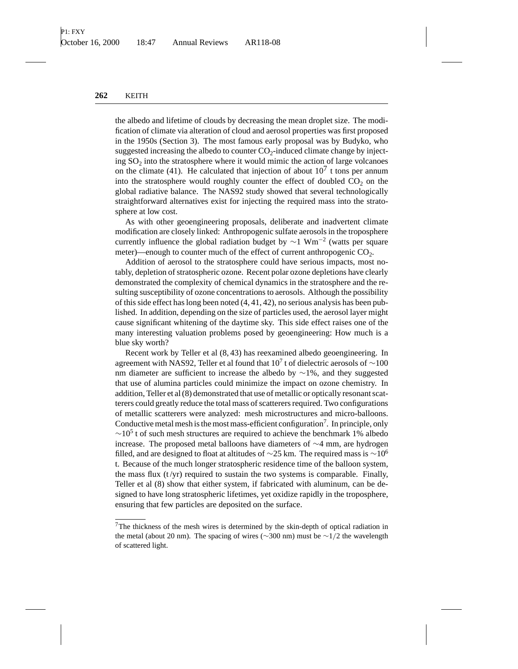the albedo and lifetime of clouds by decreasing the mean droplet size. The modification of climate via alteration of cloud and aerosol properties was first proposed in the 1950s (Section 3). The most famous early proposal was by Budyko, who suggested increasing the albedo to counter  $CO<sub>2</sub>$ -induced climate change by injecting  $SO<sub>2</sub>$  into the stratosphere where it would mimic the action of large volcanoes on the climate (41). He calculated that injection of about  $10<sup>7</sup>$  t tons per annum into the stratosphere would roughly counter the effect of doubled  $CO<sub>2</sub>$  on the global radiative balance. The NAS92 study showed that several technologically straightforward alternatives exist for injecting the required mass into the stratosphere at low cost.

As with other geoengineering proposals, deliberate and inadvertent climate modification are closely linked: Anthropogenic sulfate aerosols in the troposphere currently influence the global radiation budget by  $\sim$ 1 Wm<sup>-2</sup> (watts per square meter)—enough to counter much of the effect of current anthropogenic  $CO<sub>2</sub>$ .

Addition of aerosol to the stratosphere could have serious impacts, most notably, depletion of stratospheric ozone. Recent polar ozone depletions have clearly demonstrated the complexity of chemical dynamics in the stratosphere and the resulting susceptibility of ozone concentrations to aerosols. Although the possibility of this side effect has long been noted (4, 41, 42), no serious analysis has been published. In addition, depending on the size of particles used, the aerosol layer might cause significant whitening of the daytime sky. This side effect raises one of the many interesting valuation problems posed by geoengineering: How much is a blue sky worth?

Recent work by Teller et al (8, 43) has reexamined albedo geoengineering. In agreement with NAS92, Teller et al found that  $10<sup>7</sup>$  t of dielectric aerosols of  $\sim$ 100 nm diameter are sufficient to increase the albedo by ∼1%, and they suggested that use of alumina particles could minimize the impact on ozone chemistry. In addition, Teller et al (8) demonstrated that use of metallic or optically resonant scatterers could greatly reduce the total mass of scatterers required. Two configurations of metallic scatterers were analyzed: mesh microstructures and micro-balloons. Conductive metal mesh is the most mass-efficient configuration<sup>7</sup>. In principle, only  $\sim$ 10<sup>5</sup> t of such mesh structures are required to achieve the benchmark 1% albedo increase. The proposed metal balloons have diameters of ∼4 mm, are hydrogen filled, and are designed to float at altitudes of  $\sim$ 25 km. The required mass is  $\sim$ 10<sup>6</sup> t. Because of the much longer stratospheric residence time of the balloon system, the mass flux  $(t/yr)$  required to sustain the two systems is comparable. Finally, Teller et al (8) show that either system, if fabricated with aluminum, can be designed to have long stratospheric lifetimes, yet oxidize rapidly in the troposphere, ensuring that few particles are deposited on the surface.

 $7$ The thickness of the mesh wires is determined by the skin-depth of optical radiation in the metal (about 20 nm). The spacing of wires ( $\sim$ 300 nm) must be  $\sim$ 1/2 the wavelength of scattered light.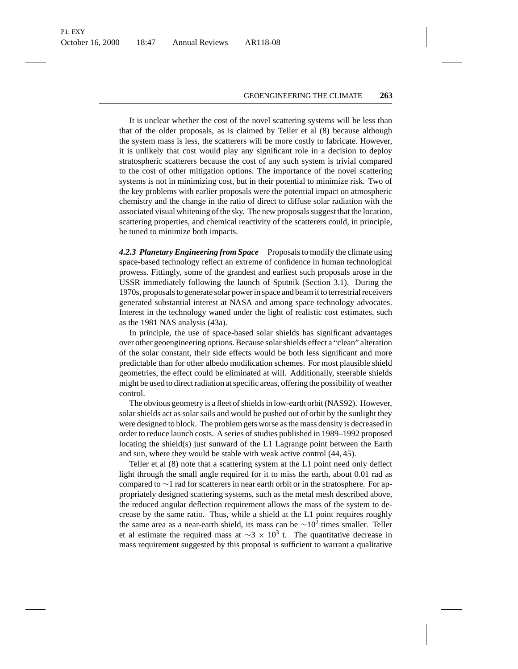It is unclear whether the cost of the novel scattering systems will be less than that of the older proposals, as is claimed by Teller et al (8) because although the system mass is less, the scatterers will be more costly to fabricate. However, it is unlikely that cost would play any significant role in a decision to deploy stratospheric scatterers because the cost of any such system is trivial compared to the cost of other mitigation options. The importance of the novel scattering systems is not in minimizing cost, but in their potential to minimize risk. Two of the key problems with earlier proposals were the potential impact on atmospheric chemistry and the change in the ratio of direct to diffuse solar radiation with the associated visual whitening of the sky. The new proposals suggest that the location, scattering properties, and chemical reactivity of the scatterers could, in principle, be tuned to minimize both impacts.

4.2.3 Planetary Engineering from Space Proposals to modify the climate using space-based technology reflect an extreme of confidence in human technological prowess. Fittingly, some of the grandest and earliest such proposals arose in the USSR immediately following the launch of Sputnik (Section 3.1). During the 1970s, proposals to generate solar power in space and beam it to terrestrial receivers generated substantial interest at NASA and among space technology advocates. Interest in the technology waned under the light of realistic cost estimates, such as the 1981 NAS analysis (43a).

In principle, the use of space-based solar shields has significant advantages over other geoengineering options. Because solar shields effect a "clean" alteration of the solar constant, their side effects would be both less significant and more predictable than for other albedo modification schemes. For most plausible shield geometries, the effect could be eliminated at will. Additionally, steerable shields might be used to direct radiation at specific areas, offering the possibility of weather control.

The obvious geometry is a fleet of shields in low-earth orbit (NAS92). However, solar shields act as solar sails and would be pushed out of orbit by the sunlight they were designed to block. The problem gets worse as the mass density is decreased in order to reduce launch costs. A series of studies published in 1989–1992 proposed locating the shield(s) just sunward of the L1 Lagrange point between the Earth and sun, where they would be stable with weak active control (44, 45).

Teller et al (8) note that a scattering system at the L1 point need only deflect light through the small angle required for it to miss the earth, about 0.01 rad as compared to ∼1 rad for scatterers in near earth orbit or in the stratosphere. For appropriately designed scattering systems, such as the metal mesh described above, the reduced angular deflection requirement allows the mass of the system to decrease by the same ratio. Thus, while a shield at the L1 point requires roughly the same area as a near-earth shield, its mass can be  $\sim 10^2$  times smaller. Teller et al estimate the required mass at  $\sim$ 3 × 10<sup>3</sup> t. The quantitative decrease in mass requirement suggested by this proposal is sufficient to warrant a qualitative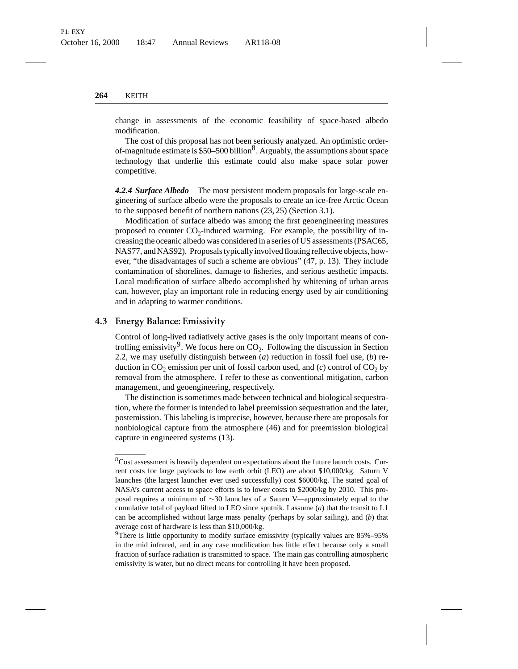change in assessments of the economic feasibility of space-based albedo modification.

The cost of this proposal has not been seriously analyzed. An optimistic orderof-magnitude estimate is \$50–500 billion<sup>8</sup>. Arguably, the assumptions about space technology that underlie this estimate could also make space solar power competitive.

*4.2.4 Surface Albedo* The most persistent modern proposals for large-scale engineering of surface albedo were the proposals to create an ice-free Arctic Ocean to the supposed benefit of northern nations (23, 25) (Section 3.1).

Modification of surface albedo was among the first geoengineering measures proposed to counter  $CO_2$ -induced warming. For example, the possibility of increasing the oceanic albedo was considered in a series of US assessments (PSAC65, NAS77, and NAS92). Proposals typically involved floating reflective objects, however, "the disadvantages of such a scheme are obvious" (47, p. 13). They include contamination of shorelines, damage to fisheries, and serious aesthetic impacts. Local modification of surface albedo accomplished by whitening of urban areas can, however, play an important role in reducing energy used by air conditioning and in adapting to warmer conditions.

### **4.3 Energy Balance: Emissivity**

Control of long-lived radiatively active gases is the only important means of controlling emissivity<sup>9</sup>. We focus here on  $CO<sub>2</sub>$ . Following the discussion in Section 2.2, we may usefully distinguish between (*a*) reduction in fossil fuel use, (*b*) reduction in  $CO<sub>2</sub>$  emission per unit of fossil carbon used, and  $(c)$  control of  $CO<sub>2</sub>$  by removal from the atmosphere. I refer to these as conventional mitigation, carbon management, and geoengineering, respectively.

The distinction is sometimes made between technical and biological sequestration, where the former is intended to label preemission sequestration and the later, postemission. This labeling is imprecise, however, because there are proposals for nonbiological capture from the atmosphere (46) and for preemission biological capture in engineered systems (13).

<sup>8</sup>Cost assessment is heavily dependent on expectations about the future launch costs. Current costs for large payloads to low earth orbit (LEO) are about \$10,000/kg. Saturn V launches (the largest launcher ever used successfully) cost \$6000/kg. The stated goal of NASA's current access to space efforts is to lower costs to \$2000/kg by 2010. This proposal requires a minimum of ∼30 launches of a Saturn V—approximately equal to the cumulative total of payload lifted to LEO since sputnik. I assume (*a*) that the transit to L1 can be accomplished without large mass penalty (perhaps by solar sailing), and (*b*) that average cost of hardware is less than \$10,000/kg.

<sup>9</sup>There is little opportunity to modify surface emissivity (typically values are 85%–95% in the mid infrared, and in any case modification has little effect because only a small fraction of surface radiation is transmitted to space. The main gas controlling atmospheric emissivity is water, but no direct means for controlling it have been proposed.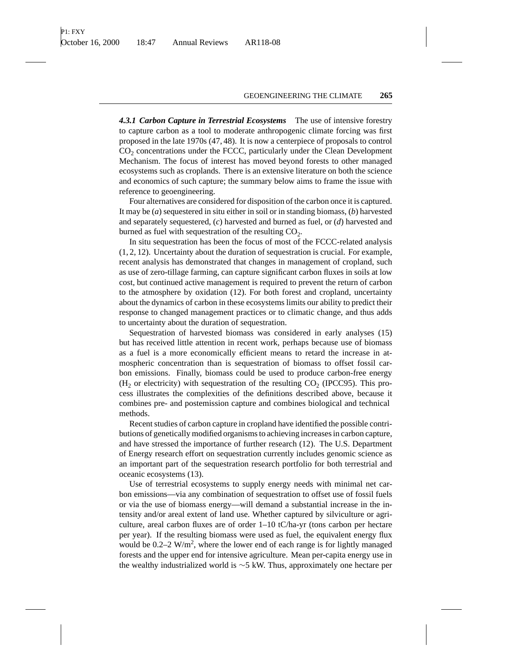*4.3.1 Carbon Capture in Terrestrial Ecosystems* The use of intensive forestry to capture carbon as a tool to moderate anthropogenic climate forcing was first proposed in the late 1970s (47, 48). It is now a centerpiece of proposals to control  $CO<sub>2</sub>$  concentrations under the FCCC, particularly under the Clean Development Mechanism. The focus of interest has moved beyond forests to other managed ecosystems such as croplands. There is an extensive literature on both the science and economics of such capture; the summary below aims to frame the issue with reference to geoengineering.

Four alternatives are considered for disposition of the carbon once it is captured. It may be (*a*) sequestered in situ either in soil or in standing biomass, (*b*) harvested and separately sequestered, (*c*) harvested and burned as fuel, or (*d*) harvested and burned as fuel with sequestration of the resulting  $CO<sub>2</sub>$ .

In situ sequestration has been the focus of most of the FCCC-related analysis (1, 2, 12). Uncertainty about the duration of sequestration is crucial. For example, recent analysis has demonstrated that changes in management of cropland, such as use of zero-tillage farming, can capture significant carbon fluxes in soils at low cost, but continued active management is required to prevent the return of carbon to the atmosphere by oxidation (12). For both forest and cropland, uncertainty about the dynamics of carbon in these ecosystems limits our ability to predict their response to changed management practices or to climatic change, and thus adds to uncertainty about the duration of sequestration.

Sequestration of harvested biomass was considered in early analyses (15) but has received little attention in recent work, perhaps because use of biomass as a fuel is a more economically efficient means to retard the increase in atmospheric concentration than is sequestration of biomass to offset fossil carbon emissions. Finally, biomass could be used to produce carbon-free energy (H<sub>2</sub> or electricity) with sequestration of the resulting  $CO_2$  (IPCC95). This process illustrates the complexities of the definitions described above, because it combines pre- and postemission capture and combines biological and technical methods.

Recent studies of carbon capture in cropland have identified the possible contributions of genetically modified organisms to achieving increases in carbon capture, and have stressed the importance of further research (12). The U.S. Department of Energy research effort on sequestration currently includes genomic science as an important part of the sequestration research portfolio for both terrestrial and oceanic ecosystems (13).

Use of terrestrial ecosystems to supply energy needs with minimal net carbon emissions—via any combination of sequestration to offset use of fossil fuels or via the use of biomass energy—will demand a substantial increase in the intensity and/or areal extent of land use. Whether captured by silviculture or agriculture, areal carbon fluxes are of order 1–10 tC/ha-yr (tons carbon per hectare per year). If the resulting biomass were used as fuel, the equivalent energy flux would be  $0.2-2$  W/m<sup>2</sup>, where the lower end of each range is for lightly managed forests and the upper end for intensive agriculture. Mean per-capita energy use in the wealthy industrialized world is ∼5 kW. Thus, approximately one hectare per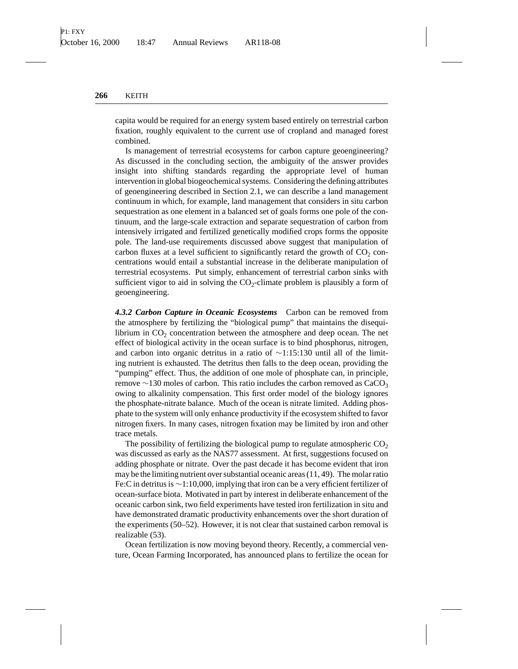capita would be required for an energy system based entirely on terrestrial carbon fixation, roughly equivalent to the current use of cropland and managed forest combined.

Is management of terrestrial ecosystems for carbon capture geoengineering? As discussed in the concluding section, the ambiguity of the answer provides insight into shifting standards regarding the appropriate level of human intervention in global biogeochemical systems. Considering the defining attributes of geoengineering described in Section 2.1, we can describe a land management continuum in which, for example, land management that considers in situ carbon sequestration as one element in a balanced set of goals forms one pole of the continuum, and the large-scale extraction and separate sequestration of carbon from intensively irrigated and fertilized genetically modified crops forms the opposite pole. The land-use requirements discussed above suggest that manipulation of carbon fluxes at a level sufficient to significantly retard the growth of  $CO<sub>2</sub>$  concentrations would entail a substantial increase in the deliberate manipulation of terrestrial ecosystems. Put simply, enhancement of terrestrial carbon sinks with sufficient vigor to aid in solving the  $CO_2$ -climate problem is plausibly a form of geoengineering.

*4.3.2 Carbon Capture in Oceanic Ecosystems* Carbon can be removed from the atmosphere by fertilizing the "biological pump" that maintains the disequilibrium in  $CO<sub>2</sub>$  concentration between the atmosphere and deep ocean. The net effect of biological activity in the ocean surface is to bind phosphorus, nitrogen, and carbon into organic detritus in a ratio of ∼1:15:130 until all of the limiting nutrient is exhausted. The detritus then falls to the deep ocean, providing the "pumping" effect. Thus, the addition of one mole of phosphate can, in principle, remove ∼130 moles of carbon. This ratio includes the carbon removed as  $CaCO<sub>3</sub>$ owing to alkalinity compensation. This first order model of the biology ignores the phosphate-nitrate balance. Much of the ocean is nitrate limited. Adding phosphate to the system will only enhance productivity if the ecosystem shifted to favor nitrogen fixers. In many cases, nitrogen fixation may be limited by iron and other trace metals.

The possibility of fertilizing the biological pump to regulate atmospheric  $CO<sub>2</sub>$ was discussed as early as the NAS77 assessment. At first, suggestions focused on adding phosphate or nitrate. Over the past decade it has become evident that iron may be the limiting nutrient over substantial oceanic areas (11, 49). The molar ratio Fe:C in detritus is ∼1:10,000, implying that iron can be a very efficient fertilizer of ocean-surface biota. Motivated in part by interest in deliberate enhancement of the oceanic carbon sink, two field experiments have tested iron fertilization in situ and have demonstrated dramatic productivity enhancements over the short duration of the experiments (50–52). However, it is not clear that sustained carbon removal is realizable (53).

Ocean fertilization is now moving beyond theory. Recently, a commercial venture, Ocean Farming Incorporated, has announced plans to fertilize the ocean for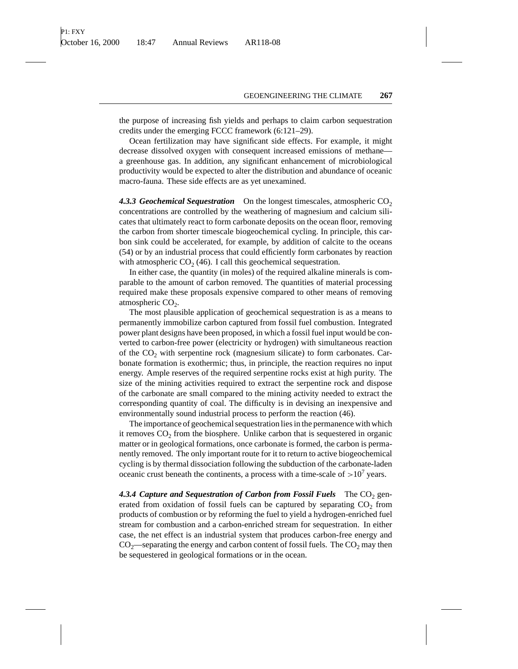the purpose of increasing fish yields and perhaps to claim carbon sequestration credits under the emerging FCCC framework (6:121–29).

Ocean fertilization may have significant side effects. For example, it might decrease dissolved oxygen with consequent increased emissions of methane a greenhouse gas. In addition, any significant enhancement of microbiological productivity would be expected to alter the distribution and abundance of oceanic macro-fauna. These side effects are as yet unexamined.

4.3.3 Geochemical Sequestration On the longest timescales, atmospheric CO<sub>2</sub> concentrations are controlled by the weathering of magnesium and calcium silicates that ultimately react to form carbonate deposits on the ocean floor, removing the carbon from shorter timescale biogeochemical cycling. In principle, this carbon sink could be accelerated, for example, by addition of calcite to the oceans (54) or by an industrial process that could efficiently form carbonates by reaction with atmospheric  $CO<sub>2</sub>$  (46). I call this geochemical sequestration.

In either case, the quantity (in moles) of the required alkaline minerals is comparable to the amount of carbon removed. The quantities of material processing required make these proposals expensive compared to other means of removing atmospheric  $CO<sub>2</sub>$ .

The most plausible application of geochemical sequestration is as a means to permanently immobilize carbon captured from fossil fuel combustion. Integrated power plant designs have been proposed, in which a fossil fuel input would be converted to carbon-free power (electricity or hydrogen) with simultaneous reaction of the  $CO<sub>2</sub>$  with serpentine rock (magnesium silicate) to form carbonates. Carbonate formation is exothermic; thus, in principle, the reaction requires no input energy. Ample reserves of the required serpentine rocks exist at high purity. The size of the mining activities required to extract the serpentine rock and dispose of the carbonate are small compared to the mining activity needed to extract the corresponding quantity of coal. The difficulty is in devising an inexpensive and environmentally sound industrial process to perform the reaction (46).

The importance of geochemical sequestration lies in the permanence with which it removes  $CO<sub>2</sub>$  from the biosphere. Unlike carbon that is sequestered in organic matter or in geological formations, once carbonate is formed, the carbon is permanently removed. The only important route for it to return to active biogeochemical cycling is by thermal dissociation following the subduction of the carbonate-laden oceanic crust beneath the continents, a process with a time-scale of  $>10^7$  years.

4.3.4 Capture and Sequestration of Carbon from Fossil Fuels The CO<sub>2</sub> generated from oxidation of fossil fuels can be captured by separating  $CO<sub>2</sub>$  from products of combustion or by reforming the fuel to yield a hydrogen-enriched fuel stream for combustion and a carbon-enriched stream for sequestration. In either case, the net effect is an industrial system that produces carbon-free energy and  $CO_2$ —separating the energy and carbon content of fossil fuels. The  $CO_2$  may then be sequestered in geological formations or in the ocean.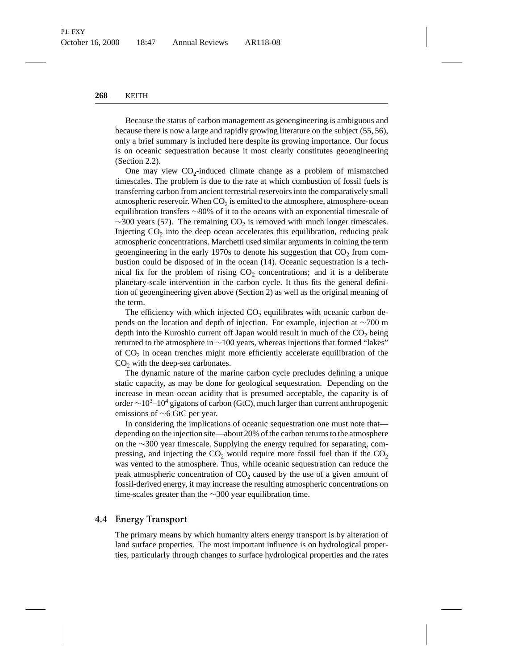Because the status of carbon management as geoengineering is ambiguous and because there is now a large and rapidly growing literature on the subject (55, 56), only a brief summary is included here despite its growing importance. Our focus is on oceanic sequestration because it most clearly constitutes geoengineering (Section 2.2).

One may view  $CO_2$ -induced climate change as a problem of mismatched timescales. The problem is due to the rate at which combustion of fossil fuels is transferring carbon from ancient terrestrial reservoirs into the comparatively small atmospheric reservoir. When  $CO<sub>2</sub>$  is emitted to the atmosphere, atmosphere-ocean equilibration transfers ∼80% of it to the oceans with an exponential timescale of  $\sim$ 300 years (57). The remaining CO<sub>2</sub> is removed with much longer timescales. Injecting  $CO<sub>2</sub>$  into the deep ocean accelerates this equilibration, reducing peak atmospheric concentrations. Marchetti used similar arguments in coining the term geoengineering in the early 1970s to denote his suggestion that  $CO<sub>2</sub>$  from combustion could be disposed of in the ocean (14). Oceanic sequestration is a technical fix for the problem of rising  $CO<sub>2</sub>$  concentrations; and it is a deliberate planetary-scale intervention in the carbon cycle. It thus fits the general definition of geoengineering given above (Section 2) as well as the original meaning of the term.

The efficiency with which injected  $CO<sub>2</sub>$  equilibrates with oceanic carbon depends on the location and depth of injection. For example, injection at ∼700 m depth into the Kuroshio current off Japan would result in much of the  $CO<sub>2</sub>$  being returned to the atmosphere in ∼100 years, whereas injections that formed "lakes" of  $CO<sub>2</sub>$  in ocean trenches might more efficiently accelerate equilibration of the  $CO<sub>2</sub>$  with the deep-sea carbonates.

The dynamic nature of the marine carbon cycle precludes defining a unique static capacity, as may be done for geological sequestration. Depending on the increase in mean ocean acidity that is presumed acceptable, the capacity is of order  $\sim$ 10<sup>3</sup>–10<sup>4</sup> gigatons of carbon (GtC), much larger than current anthropogenic emissions of ∼6 GtC per year.

In considering the implications of oceanic sequestration one must note that depending on the injection site—about 20% of the carbon returns to the atmosphere on the ∼300 year timescale. Supplying the energy required for separating, compressing, and injecting the  $CO_2$  would require more fossil fuel than if the  $CO_2$ was vented to the atmosphere. Thus, while oceanic sequestration can reduce the peak atmospheric concentration of  $CO<sub>2</sub>$  caused by the use of a given amount of fossil-derived energy, it may increase the resulting atmospheric concentrations on time-scales greater than the ∼300 year equilibration time.

### **4.4 Energy Transport**

The primary means by which humanity alters energy transport is by alteration of land surface properties. The most important influence is on hydrological properties, particularly through changes to surface hydrological properties and the rates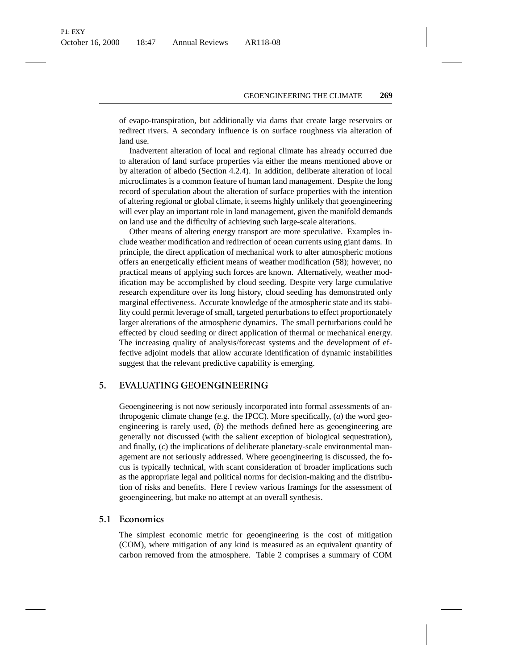of evapo-transpiration, but additionally via dams that create large reservoirs or redirect rivers. A secondary influence is on surface roughness via alteration of land use.

Inadvertent alteration of local and regional climate has already occurred due to alteration of land surface properties via either the means mentioned above or by alteration of albedo (Section 4.2.4). In addition, deliberate alteration of local microclimates is a common feature of human land management. Despite the long record of speculation about the alteration of surface properties with the intention of altering regional or global climate, it seems highly unlikely that geoengineering will ever play an important role in land management, given the manifold demands on land use and the difficulty of achieving such large-scale alterations.

Other means of altering energy transport are more speculative. Examples include weather modification and redirection of ocean currents using giant dams. In principle, the direct application of mechanical work to alter atmospheric motions offers an energetically efficient means of weather modification (58); however, no practical means of applying such forces are known. Alternatively, weather modification may be accomplished by cloud seeding. Despite very large cumulative research expenditure over its long history, cloud seeding has demonstrated only marginal effectiveness. Accurate knowledge of the atmospheric state and its stability could permit leverage of small, targeted perturbations to effect proportionately larger alterations of the atmospheric dynamics. The small perturbations could be effected by cloud seeding or direct application of thermal or mechanical energy. The increasing quality of analysis/forecast systems and the development of effective adjoint models that allow accurate identification of dynamic instabilities suggest that the relevant predictive capability is emerging.

## **5. EVALUATING GEOENGINEERING**

Geoengineering is not now seriously incorporated into formal assessments of anthropogenic climate change (e.g. the IPCC). More specifically, (*a*) the word geoengineering is rarely used, (*b*) the methods defined here as geoengineering are generally not discussed (with the salient exception of biological sequestration), and finally, (*c*) the implications of deliberate planetary-scale environmental management are not seriously addressed. Where geoengineering is discussed, the focus is typically technical, with scant consideration of broader implications such as the appropriate legal and political norms for decision-making and the distribution of risks and benefits. Here I review various framings for the assessment of geoengineering, but make no attempt at an overall synthesis.

### **5.1 Economics**

The simplest economic metric for geoengineering is the cost of mitigation (COM), where mitigation of any kind is measured as an equivalent quantity of carbon removed from the atmosphere. Table 2 comprises a summary of COM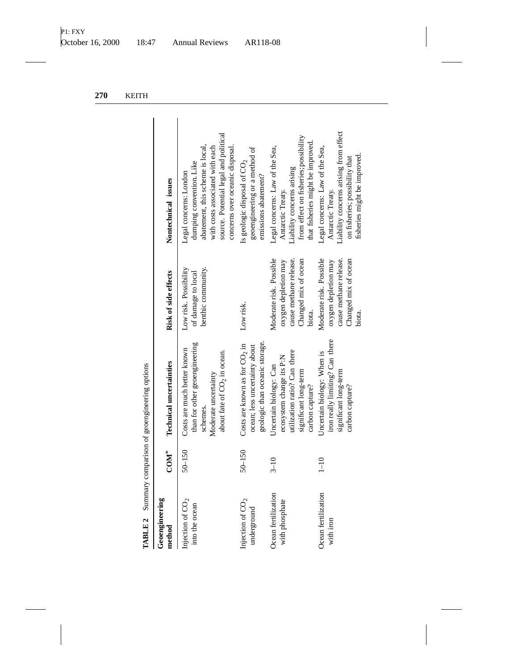| Geoengineering<br>method                       |            | COM <sup>*</sup> Technical uncertainties                                                                                                    | Risk of side effects                                                                                        | Nontechnical issues                                                                                                                                                                                   |
|------------------------------------------------|------------|---------------------------------------------------------------------------------------------------------------------------------------------|-------------------------------------------------------------------------------------------------------------|-------------------------------------------------------------------------------------------------------------------------------------------------------------------------------------------------------|
| Injection of CO <sub>2</sub><br>into the ocean | $50 - 150$ | than for other geoengineering<br>Costs are much better known<br>about fate of CO <sub>2</sub> in ocean.<br>Moderate uncertainty<br>schemes. | benthic community.<br>Low risk. Possibility<br>of damage to local                                           | source. Potential legal and political<br>abatement, this scheme is local,<br>with costs associated with each<br>concerns over oceanic disposal.<br>dumping convention. Like<br>Legal concerns: London |
| Injection of CO <sub>2</sub><br>underground    | $50 - 150$ | geologic than oceanic storage.<br>Costs are known as for $CO2$ in<br>ocean; less uncertainty about                                          | Low risk.                                                                                                   | geoengineering or a method of<br>Is geologic disposal of $CO2$<br>emissions abatement?                                                                                                                |
| Ocean fertilization<br>with phosphate          | $3 - 10$   | utilization ratio? Can there<br>ecosystem change its P:N<br>Uncertain biology: Can<br>significant long-term<br>carbon capture?              | Moderate risk. Possible<br>cause methane release.<br>Changed mix of ocean<br>oxygen depletion may<br>biota. | from effect on fisheries; possibility<br>that fisheries might be improved.<br>Legal concerns: Law of the Sea,<br>iability concerns arising<br>Antarctic Treaty.                                       |
| Ocean fertilization<br>with iron               | $1 - 10$   | iron really limiting? Can there<br>Uncertain biology: When is<br>significant long-term<br>carbon capture?                                   | Moderate risk. Possible<br>cause methane release.<br>Changed mix of ocean<br>oxygen depletion may<br>biota. | Liability concerns arising from effect<br>Legal concerns: Law of the Sea,<br>fisheries might be improved<br>on fisheries; possibility that<br>Antarctic Treaty.                                       |

 $\cdots$ **TABLE 2** Summary comparison of geoengineering options  $\cdot$ ا.<br>ا  $\widetilde{\cdot}$ á **TARIE?**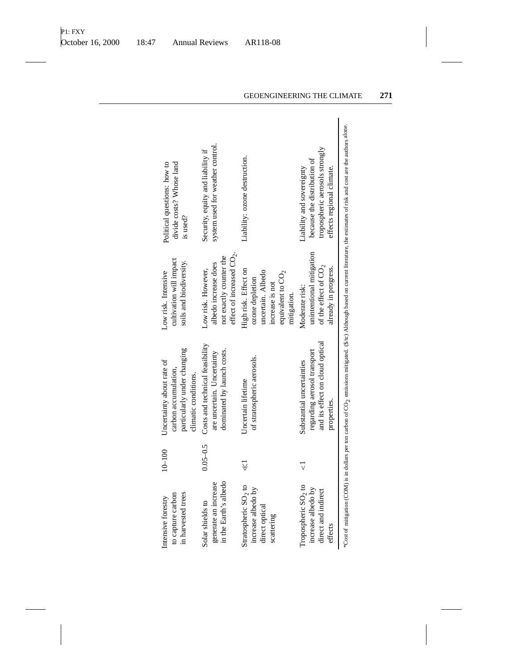\*Cost of mitigation (COM) is in dollars per ton carbon of emissions mitigated. (\$/tc) Although based on current literature, the estimates of risk and cost are the authors alone. 2 \*Cost of mitigation (COM) is in dollars per ton carbon of CO<sub>2</sub> emissions mitigated. (\$/tc) Although based on current literature, the estimates of risk and cost are the authors alone.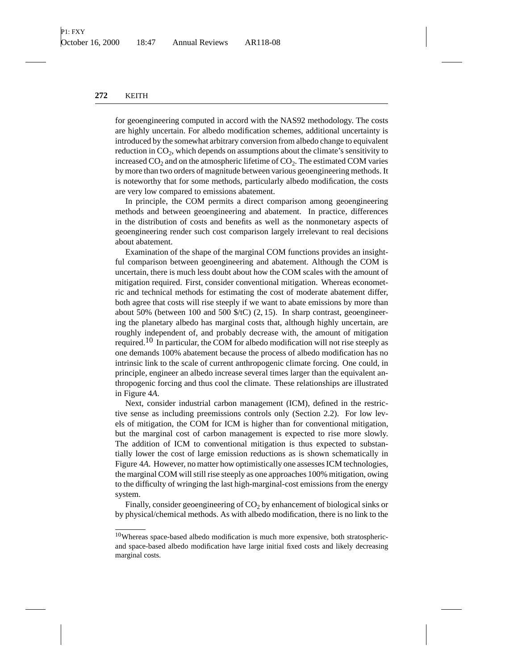for geoengineering computed in accord with the NAS92 methodology. The costs are highly uncertain. For albedo modification schemes, additional uncertainty is introduced by the somewhat arbitrary conversion from albedo change to equivalent reduction in  $CO<sub>2</sub>$ , which depends on assumptions about the climate's sensitivity to increased  $CO<sub>2</sub>$  and on the atmospheric lifetime of  $CO<sub>2</sub>$ . The estimated COM varies by more than two orders of magnitude between various geoengineering methods. It is noteworthy that for some methods, particularly albedo modification, the costs are very low compared to emissions abatement.

In principle, the COM permits a direct comparison among geoengineering methods and between geoengineering and abatement. In practice, differences in the distribution of costs and benefits as well as the nonmonetary aspects of geoengineering render such cost comparison largely irrelevant to real decisions about abatement.

Examination of the shape of the marginal COM functions provides an insightful comparison between geoengineering and abatement. Although the COM is uncertain, there is much less doubt about how the COM scales with the amount of mitigation required. First, consider conventional mitigation. Whereas econometric and technical methods for estimating the cost of moderate abatement differ, both agree that costs will rise steeply if we want to abate emissions by more than about 50% (between 100 and 500 \$/tC) (2, 15). In sharp contrast, geoengineering the planetary albedo has marginal costs that, although highly uncertain, are roughly independent of, and probably decrease with, the amount of mitigation required.<sup>10</sup> In particular, the COM for albedo modification will not rise steeply as one demands 100% abatement because the process of albedo modification has no intrinsic link to the scale of current anthropogenic climate forcing. One could, in principle, engineer an albedo increase several times larger than the equivalent anthropogenic forcing and thus cool the climate. These relationships are illustrated in Figure 4*A*.

Next, consider industrial carbon management (ICM), defined in the restrictive sense as including preemissions controls only (Section 2.2). For low levels of mitigation, the COM for ICM is higher than for conventional mitigation, but the marginal cost of carbon management is expected to rise more slowly. The addition of ICM to conventional mitigation is thus expected to substantially lower the cost of large emission reductions as is shown schematically in Figure 4*A*. However, no matter how optimistically one assesses ICM technologies, the marginal COM will still rise steeply as one approaches 100% mitigation, owing to the difficulty of wringing the last high-marginal-cost emissions from the energy system.

Finally, consider geoengineering of  $CO<sub>2</sub>$  by enhancement of biological sinks or by physical/chemical methods. As with albedo modification, there is no link to the

 $10$ Whereas space-based albedo modification is much more expensive, both stratosphericand space-based albedo modification have large initial fixed costs and likely decreasing marginal costs.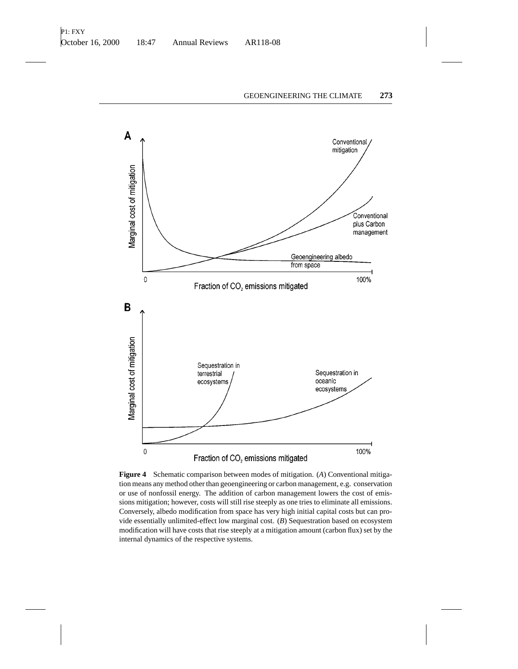

**Figure 4** Schematic comparison between modes of mitigation. (*A*) Conventional mitigation means any method other than geoengineering or carbon management, e.g. conservation or use of nonfossil energy. The addition of carbon management lowers the cost of emissions mitigation; however, costs will still rise steeply as one tries to eliminate all emissions. Conversely, albedo modification from space has very high initial capital costs but can provide essentially unlimited-effect low marginal cost. (*B*) Sequestration based on ecosystem modification will have costs that rise steeply at a mitigation amount (carbon flux) set by the internal dynamics of the respective systems.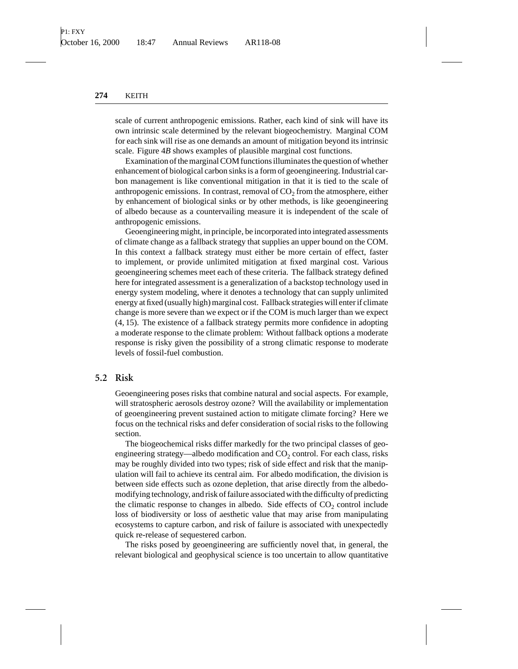scale of current anthropogenic emissions. Rather, each kind of sink will have its own intrinsic scale determined by the relevant biogeochemistry. Marginal COM for each sink will rise as one demands an amount of mitigation beyond its intrinsic scale. Figure 4*B* shows examples of plausible marginal cost functions.

Examination of the marginal COM functions illuminates the question of whether enhancement of biological carbon sinks is a form of geoengineering. Industrial carbon management is like conventional mitigation in that it is tied to the scale of anthropogenic emissions. In contrast, removal of  $CO<sub>2</sub>$  from the atmosphere, either by enhancement of biological sinks or by other methods, is like geoengineering of albedo because as a countervailing measure it is independent of the scale of anthropogenic emissions.

Geoengineering might, in principle, be incorporated into integrated assessments of climate change as a fallback strategy that supplies an upper bound on the COM. In this context a fallback strategy must either be more certain of effect, faster to implement, or provide unlimited mitigation at fixed marginal cost. Various geoengineering schemes meet each of these criteria. The fallback strategy defined here for integrated assessment is a generalization of a backstop technology used in energy system modeling, where it denotes a technology that can supply unlimited energy at fixed (usually high) marginal cost. Fallback strategies will enter if climate change is more severe than we expect or if the COM is much larger than we expect (4, 15). The existence of a fallback strategy permits more confidence in adopting a moderate response to the climate problem: Without fallback options a moderate response is risky given the possibility of a strong climatic response to moderate levels of fossil-fuel combustion.

### **5.2 Risk**

Geoengineering poses risks that combine natural and social aspects. For example, will stratospheric aerosols destroy ozone? Will the availability or implementation of geoengineering prevent sustained action to mitigate climate forcing? Here we focus on the technical risks and defer consideration of social risks to the following section.

The biogeochemical risks differ markedly for the two principal classes of geoengineering strategy—albedo modification and  $CO<sub>2</sub>$  control. For each class, risks may be roughly divided into two types; risk of side effect and risk that the manipulation will fail to achieve its central aim. For albedo modification, the division is between side effects such as ozone depletion, that arise directly from the albedomodifying technology, and risk of failure associated with the difficulty of predicting the climatic response to changes in albedo. Side effects of  $CO<sub>2</sub>$  control include loss of biodiversity or loss of aesthetic value that may arise from manipulating ecosystems to capture carbon, and risk of failure is associated with unexpectedly quick re-release of sequestered carbon.

The risks posed by geoengineering are sufficiently novel that, in general, the relevant biological and geophysical science is too uncertain to allow quantitative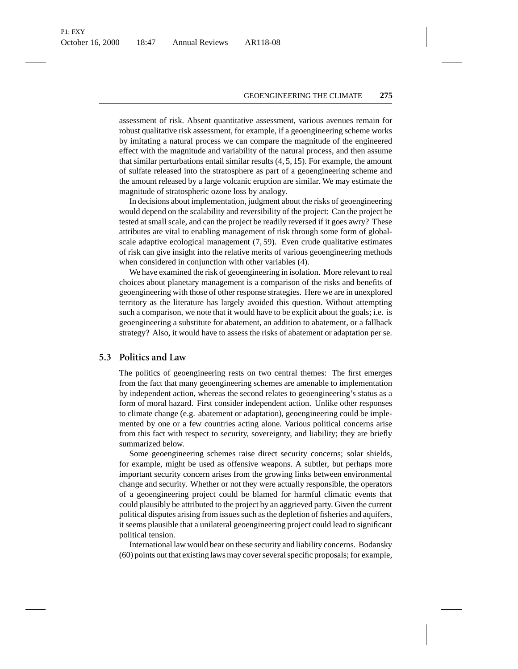assessment of risk. Absent quantitative assessment, various avenues remain for robust qualitative risk assessment, for example, if a geoengineering scheme works by imitating a natural process we can compare the magnitude of the engineered effect with the magnitude and variability of the natural process, and then assume that similar perturbations entail similar results (4, 5, 15). For example, the amount of sulfate released into the stratosphere as part of a geoengineering scheme and the amount released by a large volcanic eruption are similar. We may estimate the magnitude of stratospheric ozone loss by analogy.

In decisions about implementation, judgment about the risks of geoengineering would depend on the scalability and reversibility of the project: Can the project be tested at small scale, and can the project be readily reversed if it goes awry? These attributes are vital to enabling management of risk through some form of globalscale adaptive ecological management  $(7, 59)$ . Even crude qualitative estimates of risk can give insight into the relative merits of various geoengineering methods when considered in conjunction with other variables (4).

We have examined the risk of geoengineering in isolation. More relevant to real choices about planetary management is a comparison of the risks and benefits of geoengineering with those of other response strategies. Here we are in unexplored territory as the literature has largely avoided this question. Without attempting such a comparison, we note that it would have to be explicit about the goals; i.e. is geoengineering a substitute for abatement, an addition to abatement, or a fallback strategy? Also, it would have to assess the risks of abatement or adaptation per se.

### **5.3 Politics and Law**

The politics of geoengineering rests on two central themes: The first emerges from the fact that many geoengineering schemes are amenable to implementation by independent action, whereas the second relates to geoengineering's status as a form of moral hazard. First consider independent action. Unlike other responses to climate change (e.g. abatement or adaptation), geoengineering could be implemented by one or a few countries acting alone. Various political concerns arise from this fact with respect to security, sovereignty, and liability; they are briefly summarized below.

Some geoengineering schemes raise direct security concerns; solar shields, for example, might be used as offensive weapons. A subtler, but perhaps more important security concern arises from the growing links between environmental change and security. Whether or not they were actually responsible, the operators of a geoengineering project could be blamed for harmful climatic events that could plausibly be attributed to the project by an aggrieved party. Given the current political disputes arising from issues such as the depletion of fisheries and aquifers, it seems plausible that a unilateral geoengineering project could lead to significant political tension.

International law would bear on these security and liability concerns. Bodansky (60) points out that existing laws may cover several specific proposals; for example,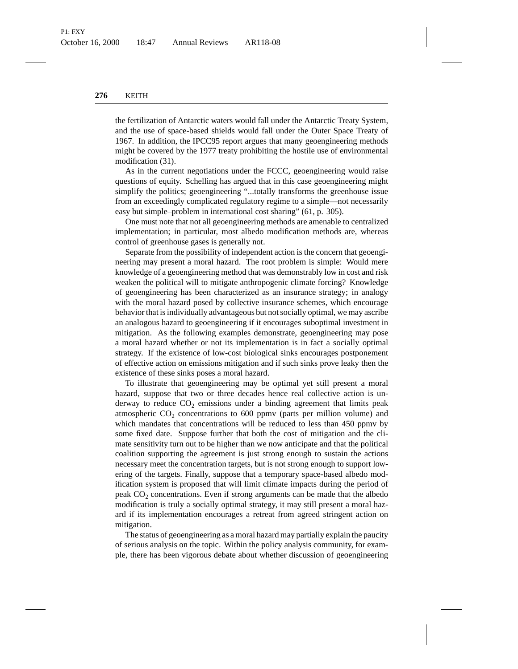the fertilization of Antarctic waters would fall under the Antarctic Treaty System, and the use of space-based shields would fall under the Outer Space Treaty of 1967. In addition, the IPCC95 report argues that many geoengineering methods might be covered by the 1977 treaty prohibiting the hostile use of environmental modification (31).

As in the current negotiations under the FCCC, geoengineering would raise questions of equity. Schelling has argued that in this case geoengineering might simplify the politics; geoengineering "...totally transforms the greenhouse issue from an exceedingly complicated regulatory regime to a simple—not necessarily easy but simple–problem in international cost sharing" (61, p. 305).

One must note that not all geoengineering methods are amenable to centralized implementation; in particular, most albedo modification methods are, whereas control of greenhouse gases is generally not.

Separate from the possibility of independent action is the concern that geoengineering may present a moral hazard. The root problem is simple: Would mere knowledge of a geoengineering method that was demonstrably low in cost and risk weaken the political will to mitigate anthropogenic climate forcing? Knowledge of geoengineering has been characterized as an insurance strategy; in analogy with the moral hazard posed by collective insurance schemes, which encourage behavior that is individually advantageous but not socially optimal, we may ascribe an analogous hazard to geoengineering if it encourages suboptimal investment in mitigation. As the following examples demonstrate, geoengineering may pose a moral hazard whether or not its implementation is in fact a socially optimal strategy. If the existence of low-cost biological sinks encourages postponement of effective action on emissions mitigation and if such sinks prove leaky then the existence of these sinks poses a moral hazard.

To illustrate that geoengineering may be optimal yet still present a moral hazard, suppose that two or three decades hence real collective action is underway to reduce  $CO<sub>2</sub>$  emissions under a binding agreement that limits peak atmospheric  $CO<sub>2</sub>$  concentrations to 600 ppmv (parts per million volume) and which mandates that concentrations will be reduced to less than 450 ppmv by some fixed date. Suppose further that both the cost of mitigation and the climate sensitivity turn out to be higher than we now anticipate and that the political coalition supporting the agreement is just strong enough to sustain the actions necessary meet the concentration targets, but is not strong enough to support lowering of the targets. Finally, suppose that a temporary space-based albedo modification system is proposed that will limit climate impacts during the period of peak  $CO<sub>2</sub>$  concentrations. Even if strong arguments can be made that the albedo modification is truly a socially optimal strategy, it may still present a moral hazard if its implementation encourages a retreat from agreed stringent action on mitigation.

The status of geoengineering as a moral hazard may partially explain the paucity of serious analysis on the topic. Within the policy analysis community, for example, there has been vigorous debate about whether discussion of geoengineering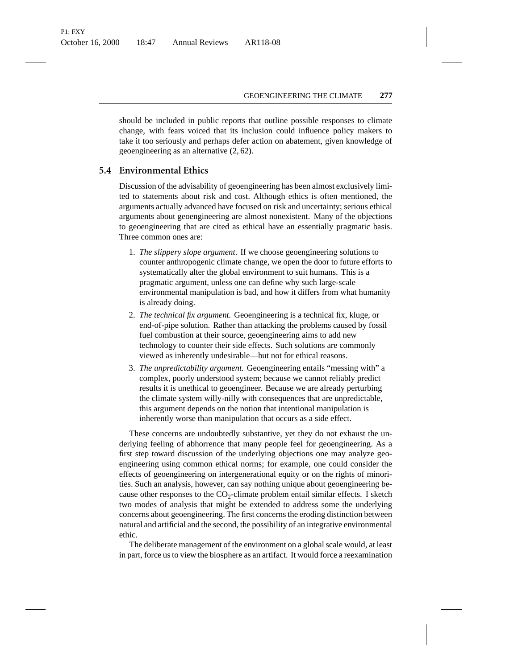should be included in public reports that outline possible responses to climate change, with fears voiced that its inclusion could influence policy makers to take it too seriously and perhaps defer action on abatement, given knowledge of geoengineering as an alternative (2, 62).

### **5.4 Environmental Ethics**

Discussion of the advisability of geoengineering has been almost exclusively limited to statements about risk and cost. Although ethics is often mentioned, the arguments actually advanced have focused on risk and uncertainty; serious ethical arguments about geoengineering are almost nonexistent. Many of the objections to geoengineering that are cited as ethical have an essentially pragmatic basis. Three common ones are:

- 1. *The slippery slope argument*. If we choose geoengineering solutions to counter anthropogenic climate change, we open the door to future efforts to systematically alter the global environment to suit humans. This is a pragmatic argument, unless one can define why such large-scale environmental manipulation is bad, and how it differs from what humanity is already doing.
- 2. *The technical fix argument.* Geoengineering is a technical fix, kluge, or end-of-pipe solution. Rather than attacking the problems caused by fossil fuel combustion at their source, geoengineering aims to add new technology to counter their side effects. Such solutions are commonly viewed as inherently undesirable—but not for ethical reasons.
- 3. *The unpredictability argument.* Geoengineering entails "messing with" a complex, poorly understood system; because we cannot reliably predict results it is unethical to geoengineer. Because we are already perturbing the climate system willy-nilly with consequences that are unpredictable, this argument depends on the notion that intentional manipulation is inherently worse than manipulation that occurs as a side effect.

These concerns are undoubtedly substantive, yet they do not exhaust the underlying feeling of abhorrence that many people feel for geoengineering. As a first step toward discussion of the underlying objections one may analyze geoengineering using common ethical norms; for example, one could consider the effects of geoengineering on intergenerational equity or on the rights of minorities. Such an analysis, however, can say nothing unique about geoengineering because other responses to the  $CO<sub>2</sub>$ -climate problem entail similar effects. I sketch two modes of analysis that might be extended to address some the underlying concerns about geoengineering. The first concerns the eroding distinction between natural and artificial and the second, the possibility of an integrative environmental ethic.

The deliberate management of the environment on a global scale would, at least in part, force us to view the biosphere as an artifact. It would force a reexamination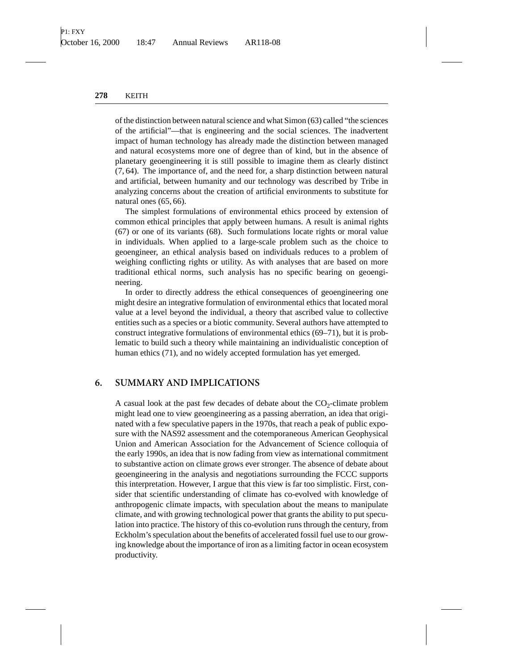of the distinction between natural science and what Simon (63) called "the sciences of the artificial"—that is engineering and the social sciences. The inadvertent impact of human technology has already made the distinction between managed and natural ecosystems more one of degree than of kind, but in the absence of planetary geoengineering it is still possible to imagine them as clearly distinct (7, 64). The importance of, and the need for, a sharp distinction between natural and artificial, between humanity and our technology was described by Tribe in analyzing concerns about the creation of artificial environments to substitute for natural ones (65, 66).

The simplest formulations of environmental ethics proceed by extension of common ethical principles that apply between humans. A result is animal rights (67) or one of its variants (68). Such formulations locate rights or moral value in individuals. When applied to a large-scale problem such as the choice to geoengineer, an ethical analysis based on individuals reduces to a problem of weighing conflicting rights or utility. As with analyses that are based on more traditional ethical norms, such analysis has no specific bearing on geoengineering.

In order to directly address the ethical consequences of geoengineering one might desire an integrative formulation of environmental ethics that located moral value at a level beyond the individual, a theory that ascribed value to collective entities such as a species or a biotic community. Several authors have attempted to construct integrative formulations of environmental ethics (69–71), but it is problematic to build such a theory while maintaining an individualistic conception of human ethics (71), and no widely accepted formulation has yet emerged.

### **6. SUMMARY AND IMPLICATIONS**

A casual look at the past few decades of debate about the  $CO<sub>2</sub>$ -climate problem might lead one to view geoengineering as a passing aberration, an idea that originated with a few speculative papers in the 1970s, that reach a peak of public exposure with the NAS92 assessment and the cotemporaneous American Geophysical Union and American Association for the Advancement of Science colloquia of the early 1990s, an idea that is now fading from view as international commitment to substantive action on climate grows ever stronger. The absence of debate about geoengineering in the analysis and negotiations surrounding the FCCC supports this interpretation. However, I argue that this view is far too simplistic. First, consider that scientific understanding of climate has co-evolved with knowledge of anthropogenic climate impacts, with speculation about the means to manipulate climate, and with growing technological power that grants the ability to put speculation into practice. The history of this co-evolution runs through the century, from Eckholm's speculation about the benefits of accelerated fossil fuel use to our growing knowledge about the importance of iron as a limiting factor in ocean ecosystem productivity.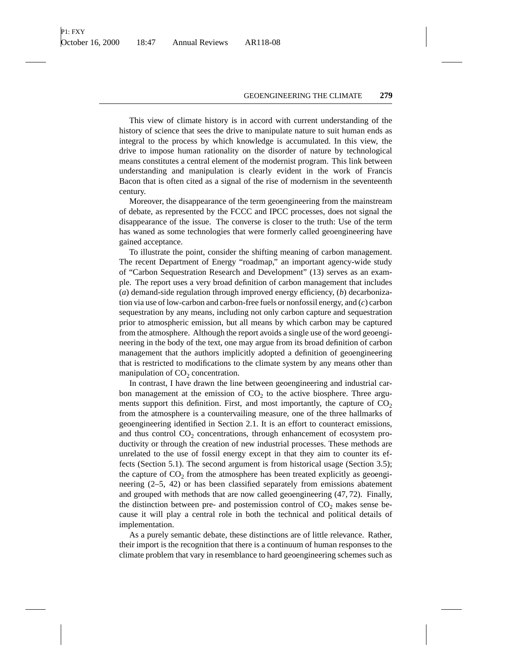This view of climate history is in accord with current understanding of the history of science that sees the drive to manipulate nature to suit human ends as integral to the process by which knowledge is accumulated. In this view, the drive to impose human rationality on the disorder of nature by technological means constitutes a central element of the modernist program. This link between understanding and manipulation is clearly evident in the work of Francis Bacon that is often cited as a signal of the rise of modernism in the seventeenth century.

Moreover, the disappearance of the term geoengineering from the mainstream of debate, as represented by the FCCC and IPCC processes, does not signal the disappearance of the issue. The converse is closer to the truth: Use of the term has waned as some technologies that were formerly called geoengineering have gained acceptance.

To illustrate the point, consider the shifting meaning of carbon management. The recent Department of Energy "roadmap," an important agency-wide study of "Carbon Sequestration Research and Development" (13) serves as an example. The report uses a very broad definition of carbon management that includes (*a*) demand-side regulation through improved energy efficiency, (*b*) decarbonization via use of low-carbon and carbon-free fuels or nonfossil energy, and (*c*) carbon sequestration by any means, including not only carbon capture and sequestration prior to atmospheric emission, but all means by which carbon may be captured from the atmosphere. Although the report avoids a single use of the word geoengineering in the body of the text, one may argue from its broad definition of carbon management that the authors implicitly adopted a definition of geoengineering that is restricted to modifications to the climate system by any means other than manipulation of  $CO<sub>2</sub>$  concentration.

In contrast, I have drawn the line between geoengineering and industrial carbon management at the emission of  $CO<sub>2</sub>$  to the active biosphere. Three arguments support this definition. First, and most importantly, the capture of  $CO<sub>2</sub>$ from the atmosphere is a countervailing measure, one of the three hallmarks of geoengineering identified in Section 2.1. It is an effort to counteract emissions, and thus control  $CO<sub>2</sub>$  concentrations, through enhancement of ecosystem productivity or through the creation of new industrial processes. These methods are unrelated to the use of fossil energy except in that they aim to counter its effects (Section 5.1). The second argument is from historical usage (Section 3.5); the capture of  $CO<sub>2</sub>$  from the atmosphere has been treated explicitly as geoengineering (2–5, 42) or has been classified separately from emissions abatement and grouped with methods that are now called geoengineering (47, 72). Finally, the distinction between pre- and postemission control of  $CO<sub>2</sub>$  makes sense because it will play a central role in both the technical and political details of implementation.

As a purely semantic debate, these distinctions are of little relevance. Rather, their import is the recognition that there is a continuum of human responses to the climate problem that vary in resemblance to hard geoengineering schemes such as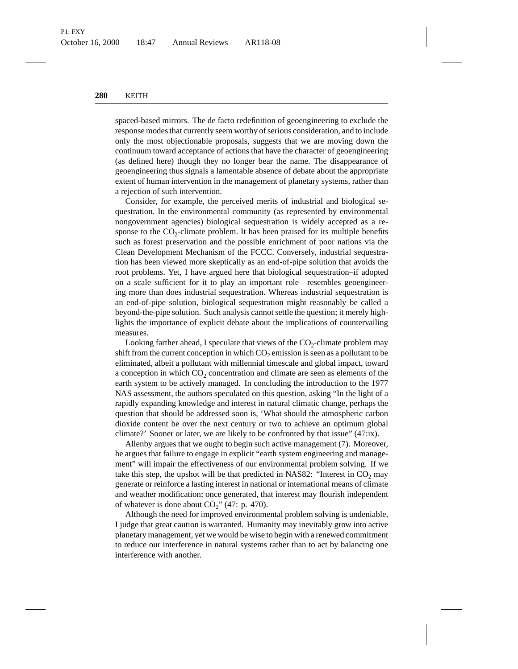spaced-based mirrors. The de facto redefinition of geoengineering to exclude the response modes that currently seem worthy of serious consideration, and to include only the most objectionable proposals, suggests that we are moving down the continuum toward acceptance of actions that have the character of geoengineering (as defined here) though they no longer bear the name. The disappearance of geoengineering thus signals a lamentable absence of debate about the appropriate extent of human intervention in the management of planetary systems, rather than a rejection of such intervention.

Consider, for example, the perceived merits of industrial and biological sequestration. In the environmental community (as represented by environmental nongovernment agencies) biological sequestration is widely accepted as a response to the  $CO<sub>2</sub>$ -climate problem. It has been praised for its multiple benefits such as forest preservation and the possible enrichment of poor nations via the Clean Development Mechanism of the FCCC. Conversely, industrial sequestration has been viewed more skeptically as an end-of-pipe solution that avoids the root problems. Yet, I have argued here that biological sequestration–if adopted on a scale sufficient for it to play an important role—resembles geoengineering more than does industrial sequestration. Whereas industrial sequestration is an end-of-pipe solution, biological sequestration might reasonably be called a beyond-the-pipe solution. Such analysis cannot settle the question; it merely highlights the importance of explicit debate about the implications of countervailing measures.

Looking farther ahead, I speculate that views of the  $CO<sub>2</sub>$ -climate problem may shift from the current conception in which  $CO<sub>2</sub>$  emission is seen as a pollutant to be eliminated, albeit a pollutant with millennial timescale and global impact, toward a conception in which  $CO_2$  concentration and climate are seen as elements of the earth system to be actively managed. In concluding the introduction to the 1977 NAS assessment, the authors speculated on this question, asking "In the light of a rapidly expanding knowledge and interest in natural climatic change, perhaps the question that should be addressed soon is, 'What should the atmospheric carbon dioxide content be over the next century or two to achieve an optimum global climate?' Sooner or later, we are likely to be confronted by that issue"  $(47:x)$ .

Allenby argues that we ought to begin such active management (7). Moreover, he argues that failure to engage in explicit "earth system engineering and management" will impair the effectiveness of our environmental problem solving. If we take this step, the upshot will be that predicted in NAS82: "Interest in  $CO<sub>2</sub>$  may generate or reinforce a lasting interest in national or international means of climate and weather modification; once generated, that interest may flourish independent of whatever is done about  $CO_2$ " (47: p. 470).

Although the need for improved environmental problem solving is undeniable, I judge that great caution is warranted. Humanity may inevitably grow into active planetary management, yet we would be wise to begin with a renewed commitment to reduce our interference in natural systems rather than to act by balancing one interference with another.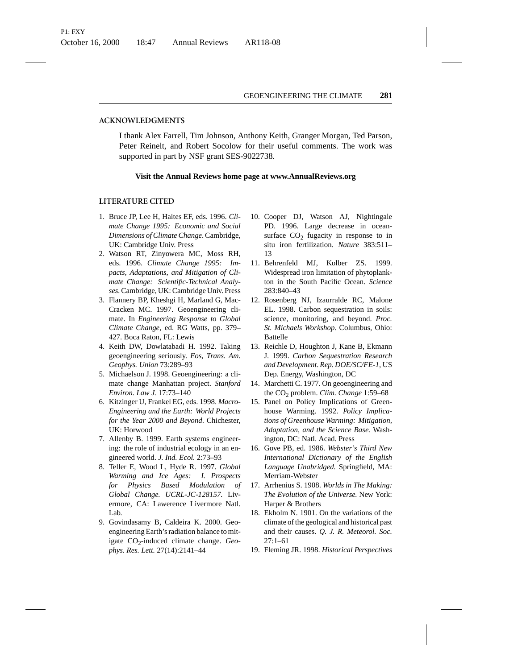#### **ACKNOWLEDGMENTS**

I thank Alex Farrell, Tim Johnson, Anthony Keith, Granger Morgan, Ted Parson, Peter Reinelt, and Robert Socolow for their useful comments. The work was supported in part by NSF grant SES-9022738.

### **Visit the Annual Reviews home page at www.AnnualReviews.org**

#### **LITERATURE CITED**

- 1. Bruce JP, Lee H, Haites EF, eds. 1996. *Climate Change 1995: Economic and Social Dimensions of Climate Change*. Cambridge, UK: Cambridge Univ. Press
- 2. Watson RT, Zinyowera MC, Moss RH, eds. 1996. *Climate Change 1995: Impacts, Adaptations, and Mitigation of Climate Change: Scientific-Technical Analyses.*Cambridge, UK: Cambridge Univ. Press
- 3. Flannery BP, Kheshgi H, Marland G, Mac-Cracken MC. 1997. Geoengineering climate. In *Engineering Response to Global Climate Change*, ed. RG Watts, pp. 379– 427. Boca Raton, FL: Lewis
- 4. Keith DW, Dowlatabadi H. 1992. Taking geoengineering seriously. *Eos, Trans. Am. Geophys. Union* 73:289–93
- 5. Michaelson J. 1998. Geoengineering: a climate change Manhattan project. *Stanford Environ. Law J.* 17:73–140
- 6. Kitzinger U, Frankel EG, eds. 1998. *Macro-Engineering and the Earth: World Projects for the Year 2000 and Beyond*. Chichester, UK: Horwood
- 7. Allenby B. 1999. Earth systems engineering: the role of industrial ecology in an engineered world. *J. Ind. Ecol.* 2:73–93
- 8. Teller E, Wood L, Hyde R. 1997. *Global Warming and Ice Ages: I. Prospects for Physics Based Modulation of Global Change. UCRL-JC-128157.* Livermore, CA: Lawerence Livermore Natl. Lab.
- 9. Govindasamy B, Caldeira K. 2000. Geoengineering Earth's radiation balance to mitigate CO<sub>2</sub>-induced climate change. Geo*phys. Res. Lett.* 27(14):2141–44
- 10. Cooper DJ, Watson AJ, Nightingale PD. 1996. Large decrease in oceansurface  $CO<sub>2</sub>$  fugacity in response to in situ iron fertilization. *Nature* 383:511– 13
- 11. Behrenfeld MJ, Kolber ZS. 1999. Widespread iron limitation of phytoplankton in the South Pacific Ocean. *Science* 283:840–43
- 12. Rosenberg NJ, Izaurralde RC, Malone EL. 1998. Carbon sequestration in soils: science, monitoring, and beyond. *Proc. St. Michaels Workshop*. Columbus, Ohio: Battelle
- 13. Reichle D, Houghton J, Kane B, Ekmann J. 1999. *Carbon Sequestration Research and Development*. *Rep. DOE/SC/FE-1*, US Dep. Energy, Washington, DC
- 14. Marchetti C. 1977. On geoengineering and the CO<sub>2</sub> problem. *Clim. Change* 1:59-68
- 15. Panel on Policy Implications of Greenhouse Warming. 1992. *Policy Implications of Greenhouse Warming: Mitigation, Adaptation, and the Science Base.* Washington, DC: Natl. Acad. Press
- 16. Gove PB, ed. 1986. *Webster's Third New International Dictionary of the English Language Unabridged.* Springfield, MA: Merriam-Webster
- 17. Arrhenius S. 1908. *Worlds in The Making: The Evolution of the Universe.* New York: Harper & Brothers
- 18. Ekholm N. 1901. On the variations of the climate of the geological and historical past and their causes. *Q. J. R. Meteorol. Soc.* 27:1–61
- 19. Fleming JR. 1998. *Historical Perspectives*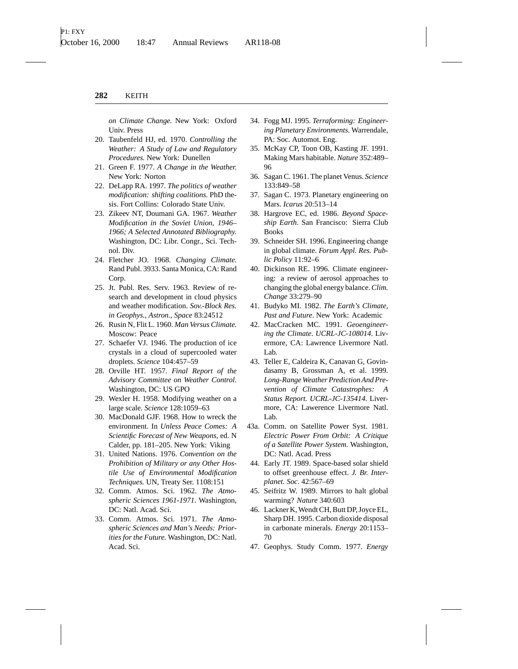*on Climate Change.* New York: Oxford Univ. Press

- 20. Taubenfeld HJ, ed. 1970. *Controlling the Weather: A Study of Law and Regulatory Procedures.* New York: Dunellen
- 21. Green F. 1977. *A Change in the Weather.* New York: Norton
- 22. DeLapp RA. 1997. *The politics of weather modification: shifting coalitions.* PhD thesis. Fort Collins: Colorado State Univ.
- 23. Zikeev NT, Doumani GA. 1967. *Weather Modification in the Soviet Union, 1946– 1966; A Selected Annotated Bibliography.* Washington, DC: Libr. Congr., Sci. Technol. Div.
- 24. Fletcher JO. 1968. *Changing Climate.* Rand Publ. 3933. Santa Monica, CA: Rand Corp.
- 25. Jt. Publ. Res. Serv. 1963. Review of research and development in cloud physics and weather modification. *Sov.-Block Res. in Geophys., Astron., Space* 83:24512
- 26. Rusin N, Flit L. 1960. *Man Versus Climate.* Moscow: Peace
- 27. Schaefer VJ. 1946. The production of ice crystals in a cloud of supercooled water droplets. *Science* 104:457–59
- 28. Orville HT. 1957. *Final Report of the Advisory Committee on Weather Control*. Washington, DC: US GPO
- 29. Wexler H. 1958. Modifying weather on a large scale. *Science* 128:1059–63
- 30. MacDonald GJF. 1968. How to wreck the environment. In *Unless Peace Comes: A Scientific Forecast of New Weapons*, ed. N Calder, pp. 181–205. New York: Viking
- 31. United Nations. 1976. *Convention on the Prohibition of Military or any Other Hostile Use of Environmental Modification Techniques.* UN, Treaty Ser. 1108:151
- 32. Comm. Atmos. Sci. 1962. *The Atmospheric Sciences 1961-1971.* Washington, DC: Natl. Acad. Sci.
- 33. Comm. Atmos. Sci. 1971. *The Atmospheric Sciences and Man's Needs: Priorities for the Future.* Washington, DC: Natl. Acad. Sci.
- 34. Fogg MJ. 1995. *Terraforming: Engineering Planetary Environments.* Warrendale, PA: Soc. Automot. Eng.
- 35. McKay CP, Toon OB, Kasting JF. 1991. Making Mars habitable. *Nature* 352:489– 96
- 36. Sagan C. 1961. The planet Venus. *Science* 133:849–58
- 37. Sagan C. 1973. Planetary engineering on Mars. *Icarus* 20:513–14
- 38. Hargrove EC, ed. 1986. *Beyond Spaceship Earth*. San Francisco: Sierra Club Books
- 39. Schneider SH. 1996. Engineering change in global climate. *Forum Appl. Res. Public Policy* 11:92–6
- 40. Dickinson RE. 1996. Climate engineering: a review of aerosol approaches to changing the global energy balance.*Clim. Change* 33:279–90
- 41. Budyko MI. 1982. *The Earth's Climate, Past and Future*. New York: Academic
- 42. MacCracken MC. 1991. *Geoengineering the Climate*. *UCRL-JC-108014*. Livermore, CA: Lawrence Livermore Natl. Lab.
- 43. Teller E, Caldeira K, Canavan G, Govindasamy B, Grossman A, et al. 1999. *Long-Range Weather Prediction And Prevention of Climate Catastrophes: A Status Report. UCRL-JC-135414.* Livermore, CA: Lawerence Livermore Natl. Lab.
- 43a. Comm. on Satellite Power Syst. 1981. *Electric Power From Orbit: A Critique of a Satellite Power System.* Washington, DC: Natl. Acad. Press
- 44. Early JT. 1989. Space-based solar shield to offset greenhouse effect. *J. Br. Interplanet. Soc.* 42:567–69
- 45. Seifritz W. 1989. Mirrors to halt global warming? *Nature* 340:603
- 46. Lackner K, Wendt CH, Butt DP, Joyce EL, Sharp DH. 1995. Carbon dioxide disposal in carbonate minerals. *Energy* 20:1153– 70
- 47. Geophys. Study Comm. 1977. *Energy*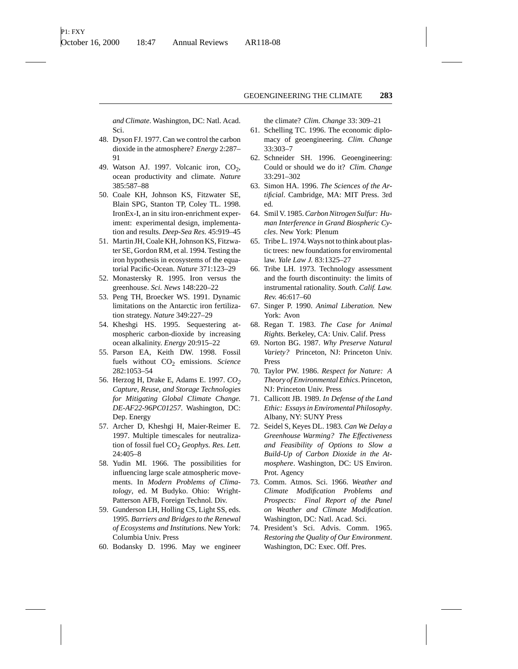*and Climate*. Washington, DC: Natl. Acad. Sci.

- 48. Dyson FJ. 1977. Can we control the carbon dioxide in the atmosphere? *Energy* 2:287– 91
- 49. Watson AJ. 1997. Volcanic iron,  $CO<sub>2</sub>$ , ocean productivity and climate. *Nature* 385:587–88
- 50. Coale KH, Johnson KS, Fitzwater SE, Blain SPG, Stanton TP, Coley TL. 1998. IronEx-I, an in situ iron-enrichment experiment: experimental design, implementation and results. *Deep-Sea Res.* 45:919–45
- 51. Martin JH, Coale KH, Johnson KS, Fitzwater SE, Gordon RM, et al. 1994. Testing the iron hypothesis in ecosystems of the equatorial Pacific-Ocean. *Nature* 371:123–29
- 52. Monastersky R. 1995. Iron versus the greenhouse. *Sci. News* 148:220–22
- 53. Peng TH, Broecker WS. 1991. Dynamic limitations on the Antarctic iron fertilization strategy. *Nature* 349:227–29
- 54. Kheshgi HS. 1995. Sequestering atmospheric carbon-dioxide by increasing ocean alkalinity. *Energy* 20:915–22
- 55. Parson EA, Keith DW. 1998. Fossil fuels without CO<sub>2</sub> emissions. Science 282:1053–54
- 56. Herzog H, Drake E, Adams E. 1997. *CO2 Capture, Reuse, and Storage Technologies for Mitigating Global Climate Change. DE-AF22-96PC01257*. Washington, DC: Dep. Energy
- 57. Archer D, Kheshgi H, Maier-Reimer E. 1997. Multiple timescales for neutralization of fossil fuel CO<sub>2</sub> Geophys. Res. Lett. 24:405–8
- 58. Yudin MI. 1966. The possibilities for influencing large scale atmospheric movements. In *Modern Problems of Climatology*, ed. M Budyko. Ohio: Wright-Patterson AFB, Foreign Technol. Div.
- 59. Gunderson LH, Holling CS, Light SS, eds. 1995. *Barriers and Bridges to the Renewal of Ecosystems and Institutions*. New York: Columbia Univ. Press
- 60. Bodansky D. 1996. May we engineer

the climate? *Clim. Change* 33: 309–21

- 61. Schelling TC. 1996. The economic diplomacy of geoengineering. *Clim. Change* 33:303–7
- 62. Schneider SH. 1996. Geoengineering: Could or should we do it? *Clim. Change* 33:291–302
- 63. Simon HA. 1996. *The Sciences of the Artificial*. Cambridge, MA: MIT Press. 3rd ed.
- 64. Smil V. 1985.*Carbon Nitrogen Sulfur: Human Interference in Grand Biospheric Cycles*. New York: Plenum
- 65. Tribe L. 1974. Ways not to think about plastic trees: new foundations for enviromental law. *Yale Law J.* 83:1325–27
- 66. Tribe LH. 1973. Technology assessment and the fourth discontinuity: the limits of instrumental rationality. *South. Calif. Law. Rev.* 46:617–60
- 67. Singer P. 1990. *Animal Liberation.* New York: Avon
- 68. Regan T. 1983. *The Case for Animal Rights.* Berkeley, CA: Univ. Calif. Press
- 69. Norton BG. 1987. *Why Preserve Natural Variety?* Princeton, NJ: Princeton Univ. Press
- 70. Taylor PW. 1986. *Respect for Nature: A Theory of Environmental Ethics*. Princeton, NJ: Princeton Univ. Press
- 71. Callicott JB. 1989. *In Defense of the Land Ethic: Essays in Enviromental Philosophy*. Albany, NY: SUNY Press
- 72. Seidel S, Keyes DL. 1983. *Can We Delay a Greenhouse Warming? The Effectiveness and Feasibility of Options to Slow a Build-Up of Carbon Dioxide in the Atmosphere*. Washington, DC: US Environ. Prot. Agency
- 73. Comm. Atmos. Sci. 1966. *Weather and Climate Modification Problems and Prospects: Final Report of the Panel on Weather and Climate Modification*. Washington, DC: Natl. Acad. Sci.
- 74. President's Sci. Advis. Comm. 1965. *Restoring the Quality of Our Environment*. Washington, DC: Exec. Off. Pres.